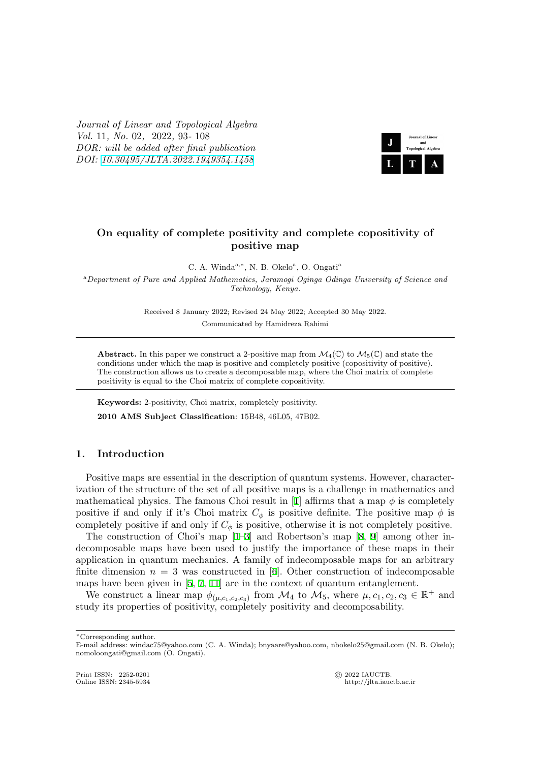*Journal of Linear and Topological Algebra Vol.* 11*, No.* 02*,* 2022*,* 93*-* 108 *DOR: will be added after final publication DOI: 10.30495/JLTA.2022.1949354.1458*



# **On equality of complete positivity and complete copositivity of positive map**

C. A. Winda<sup>a,\*</sup>, N. B. Okelo<sup>a</sup>, O. Ongati<sup>a</sup>

<sup>a</sup>*Department of Pure and Applied Mathematics, Jaramogi Oginga Odinga University of Science and Technology, Kenya.*

> Received 8 January 2022; Revised 24 May 2022; Accepted 30 May 2022. Communicated by Hamidreza Rahimi

**Abstract.** In this paper we construct a 2-positive map from  $\mathcal{M}_4(\mathbb{C})$  to  $\mathcal{M}_5(\mathbb{C})$  and state the conditions under which the map is positive and completely positive (copositivity of positive). The construction allows us to create a decomposable map, where the Choi matrix of complete positivity is equal to the Choi matrix of complete copositivity.

**Keywords:** 2-positivity, Choi matrix, completely positivity. **2010 AMS Subject Classification**: 15B48, 46L05, 47B02.

## **1. Introduction**

Positive maps are essential in the description of quantum systems. However, characterization of the structure of the set of all positive maps is a challenge in mathematics and mathematical physics. The famous Choi result in [1] affirms that a map  $\phi$  is completely positive if and only if it's Choi matrix  $C_{\phi}$  is positive definite. The positive map  $\phi$  is completely positive if and only if  $C_{\phi}$  is positive, otherwise it is not completely positive.

The construction of Choi's map [1–3] and Robertson's map [8, 9] among other indecomposable maps have been used to justify th[e](#page-15-0) importance of these maps in their application in quantum mechanics. A family of indecomposable maps for an arbitrary finite dimension  $n = 3$  was constructed in [6]. Other construction of indecomposable maps have been given in [5, 7, 11] ar[e](#page-15-0) [in](#page-15-1) the context of quantum [en](#page-15-2)[ta](#page-15-3)nglement.

We construct a linear map  $\phi_{(\mu,c_1,c_2,c_3)}$  from  $\mathcal{M}_4$  to  $\mathcal{M}_5$ , where  $\mu,c_1,c_2,c_3 \in \mathbb{R}^+$  and study its properties of positivity, completely positivity and decomposability.

*∗*Corresponding author.

http://jlta.iauctb.ac.ir

E-mail address: windac75@yahoo.com (C. A. Winda); bnyaare@yahoo.com, nbokelo25@gmail.com (N. B. Okelo); nomoloongati@gmail.com (O. Ongati).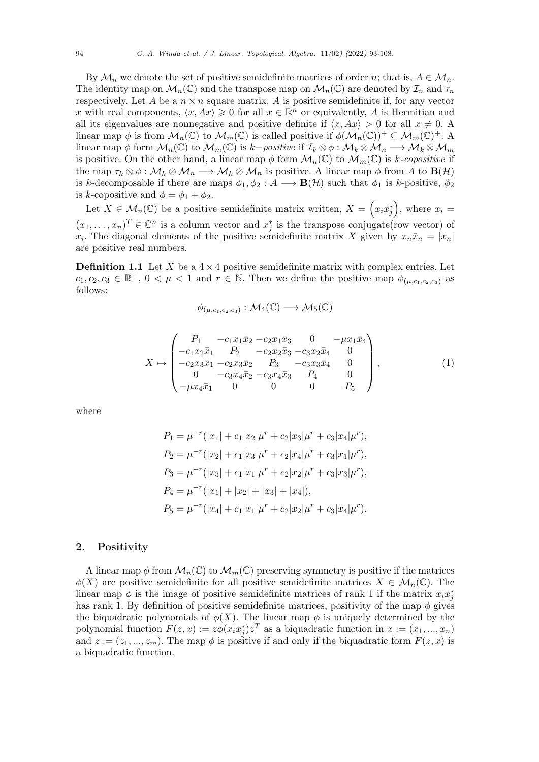By  $\mathcal{M}_n$  we denote the set of positive semidefinite matrices of order *n*; that is,  $A \in \mathcal{M}_n$ . The identity map on  $\mathcal{M}_n(\mathbb{C})$  and the transpose map on  $\mathcal{M}_n(\mathbb{C})$  are denoted by  $\mathcal{I}_n$  and  $\tau_n$ respectively. Let A be a  $n \times n$  square matrix. A is positive semidefinite if, for any vector *x* with real components,  $\langle x, Ax \rangle \geq 0$  for all  $x \in \mathbb{R}^n$  or equivalently, *A* is Hermitian and all its eigenvalues are nonnegative and positive definite if  $\langle x, Ax \rangle > 0$  for all  $x \neq 0$ . linear map  $\phi$  is from  $\mathcal{M}_n(\mathbb{C})$  to  $\mathcal{M}_m(\mathbb{C})$  is called positive if  $\phi(\mathcal{M}_n(\mathbb{C}))^+\subseteq \mathcal{M}_m(\mathbb{C})^+$ . A linear map  $\phi$  form  $\mathcal{M}_n(\mathbb{C})$  to  $\mathcal{M}_m(\mathbb{C})$  is  $k$ *−positive* if  $\mathcal{I}_k \otimes \phi : \mathcal{M}_k \otimes \mathcal{M}_n \longrightarrow \mathcal{M}_k \otimes \mathcal{M}_m$ is positive. On the other hand, a linear map  $\phi$  form  $\mathcal{M}_n(\mathbb{C})$  to  $\mathcal{M}_m(\mathbb{C})$  is *k-copositive* if the map  $\tau_k \otimes \phi : \mathcal{M}_k \otimes \mathcal{M}_n \longrightarrow \mathcal{M}_k \otimes \mathcal{M}_n$  is positive. A linear map  $\phi$  from A to  $\mathbf{B}(\mathcal{H})$ is *k*-decomposable if there are maps  $\phi_1, \phi_2 : A \longrightarrow \mathbf{B}(\mathcal{H})$  such that  $\phi_1$  is *k*-positive,  $\phi_2$ is *k*-copositive and  $\phi = \phi_1 + \phi_2$ .

Let  $X \in \mathcal{M}_n(\mathbb{C})$  be a positive semidefinite matrix written,  $X = \left(x_i x_j^*\right)$ , where  $x_i =$  $(x_1, \ldots, x_n)^T \in \mathbb{C}^n$  is a column vector and  $x_j^*$  is the transpose conjugate(row vector) of *x*<sub>*i*</sub>. The diagonal elements of the positive semidefinite matrix *X* given by  $x_n\bar{x}_n = |x_n|$ are positive real numbers.

**Definition 1.1** Let *X* be a  $4 \times 4$  positive semidefinite matrix with complex entries. Let  $c_1, c_2, c_3 \in \mathbb{R}^+, 0 < \mu < 1$  and  $r \in \mathbb{N}$ . Then we define the positive map  $\phi_{(\mu,c_1,c_2,c_3)}$  as follows:

$$
\phi_{(\mu,c_1,c_2,c_3)} : \mathcal{M}_4(\mathbb{C}) \longrightarrow \mathcal{M}_5(\mathbb{C})
$$

$$
X \mapsto \begin{pmatrix} P_1 & -c_1 x_1 \bar{x}_2 & -c_2 x_1 \bar{x}_3 & 0 & -\mu x_1 \bar{x}_4 \\ -c_1 x_2 \bar{x}_1 & P_2 & -c_2 x_2 \bar{x}_3 & -c_3 x_2 \bar{x}_4 & 0 \\ -c_2 x_3 \bar{x}_1 & -c_2 x_3 \bar{x}_2 & P_3 & -c_3 x_3 \bar{x}_4 & 0 \\ 0 & -c_3 x_4 \bar{x}_2 & -c_3 x_4 \bar{x}_3 & P_4 & 0 \\ -\mu x_4 \bar{x}_1 & 0 & 0 & 0 & P_5 \end{pmatrix}, \tag{1}
$$

where

$$
P_1 = \mu^{-r}(|x_1| + c_1|x_2|\mu^r + c_2|x_3|\mu^r + c_3|x_4|\mu^r),
$$
  
\n
$$
P_2 = \mu^{-r}(|x_2| + c_1|x_3|\mu^r + c_2|x_4|\mu^r + c_3|x_1|\mu^r),
$$
  
\n
$$
P_3 = \mu^{-r}(|x_3| + c_1|x_1|\mu^r + c_2|x_2|\mu^r + c_3|x_3|\mu^r),
$$
  
\n
$$
P_4 = \mu^{-r}(|x_1| + |x_2| + |x_3| + |x_4|),
$$
  
\n
$$
P_5 = \mu^{-r}(|x_4| + c_1|x_1|\mu^r + c_2|x_2|\mu^r + c_3|x_4|\mu^r).
$$

## **2. Positivity**

A linear map  $\phi$  from  $\mathcal{M}_n(\mathbb{C})$  to  $\mathcal{M}_m(\mathbb{C})$  preserving symmetry is positive if the matrices  $\phi(X)$  are positive semidefinite for all positive semidefinite matrices  $X \in \mathcal{M}_n(\mathbb{C})$ . The linear map  $\phi$  is the image of positive semidefinite matrices of rank 1 if the matrix  $x_i x_j^*$ has rank 1. By definition of positive semidefinite matrices, positivity of the map  $\phi$  gives the biquadratic polynomials of  $\phi(X)$ . The linear map  $\phi$  is uniquely determined by the polynomial function  $F(z, x) := z\phi(x_i x_j^*) z^T$  as a biquadratic function in  $x := (x_1, ..., x_n)$ and  $z := (z_1, ..., z_m)$ . The map  $\phi$  is positive if and only if the biquadratic form  $F(z, x)$  is a biquadratic function.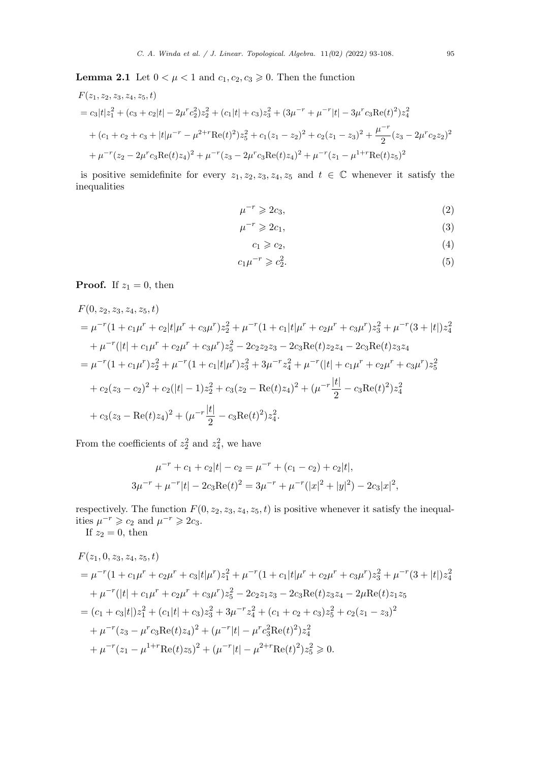**Lemma 2.1** Let  $0 < \mu < 1$  and  $c_1, c_2, c_3 \geq 0$ . Then the function

$$
F(z_1, z_2, z_3, z_4, z_5, t)
$$
  
=  $c_3|t|z_1^2 + (c_3 + c_2|t| - 2\mu^r c_2^2)z_2^2 + (c_1|t| + c_3)z_3^2 + (3\mu^{-r} + \mu^{-r}|t| - 3\mu^r c_3 \text{Re}(t)^2)z_4^2$   
+  $(c_1 + c_2 + c_3 + |t|\mu^{-r} - \mu^{2+r} \text{Re}(t)^2)z_5^2 + c_1(z_1 - z_2)^2 + c_2(z_1 - z_3)^2 + \frac{\mu^{-r}}{2}(z_3 - 2\mu^r c_2 z_2)^2$   
+  $\mu^{-r}(z_2 - 2\mu^r c_3 \text{Re}(t)z_4)^2 + \mu^{-r}(z_3 - 2\mu^r c_3 \text{Re}(t)z_4)^2 + \mu^{-r}(z_1 - \mu^{1+r} \text{Re}(t)z_5)^2$ 

is positive semidefinite for every  $z_1, z_2, z_3, z_4, z_5$  and  $t \in \mathbb{C}$  whenever it satisfy the inequalities

<span id="page-2-0"></span>
$$
\mu^{-r} \geqslant 2c_3,\tag{2}
$$

$$
\mu^{-r} \geqslant 2c_1,\tag{3}
$$

$$
c_1 \geqslant c_2,\tag{4}
$$

$$
c_1\mu^{-r} \geqslant c_2^2. \tag{5}
$$

# **Proof.** If  $z_1 = 0$ , then

$$
F(0, z_2, z_3, z_4, z_5, t)
$$
  
=  $\mu^{-r}(1 + c_1\mu^r + c_2|t|\mu^r + c_3\mu^r)z_2^2 + \mu^{-r}(1 + c_1|t|\mu^r + c_2\mu^r + c_3\mu^r)z_3^2 + \mu^{-r}(3 + |t|)z_4^2$   
+  $\mu^{-r}(|t| + c_1\mu^r + c_2\mu^r + c_3\mu^r)z_5^2 - 2c_2z_2z_3 - 2c_3 \text{Re}(t)z_2z_4 - 2c_3 \text{Re}(t)z_3z_4$   
=  $\mu^{-r}(1 + c_1\mu^r)z_2^2 + \mu^{-r}(1 + c_1|t|\mu^r)z_3^2 + 3\mu^{-r}z_4^2 + \mu^{-r}(|t| + c_1\mu^r + c_2\mu^r + c_3\mu^r)z_5^2$   
+  $c_2(z_3 - c_2)^2 + c_2(|t| - 1)z_2^2 + c_3(z_2 - \text{Re}(t)z_4)^2 + (\mu^{-r}\frac{|t|}{2} - c_3 \text{Re}(t)^2)z_4^2$   
+  $c_3(z_3 - \text{Re}(t)z_4)^2 + (\mu^{-r}\frac{|t|}{2} - c_3 \text{Re}(t)^2)z_4^2$ .

From the coefficients of  $z_2^2$  and  $z_4^2$ , we have

$$
\mu^{-r} + c_1 + c_2|t| - c_2 = \mu^{-r} + (c_1 - c_2) + c_2|t|,
$$
  
\n
$$
3\mu^{-r} + \mu^{-r}|t| - 2c_3 \text{Re}(t)^2 = 3\mu^{-r} + \mu^{-r}(|x|^2 + |y|^2) - 2c_3|x|^2,
$$

respectively. The function  $F(0, z_2, z_3, z_4, z_5, t)$  is positive whenever it satisfy the inequalities  $\mu^{-r} \geq c_2$  and  $\mu^{-r} \geq 2c_3$ .

If  $z_2 = 0$ , then

$$
F(z_1, 0, z_3, z_4, z_5, t)
$$
  
=  $\mu^{-r} (1 + c_1 \mu^r + c_2 \mu^r + c_3 |t| \mu^r) z_1^2 + \mu^{-r} (1 + c_1 |t| \mu^r + c_2 \mu^r + c_3 \mu^r) z_3^2 + \mu^{-r} (3 + |t|) z_4^2$   
+  $\mu^{-r} (|t| + c_1 \mu^r + c_2 \mu^r + c_3 \mu^r) z_5^2 - 2c_2 z_1 z_3 - 2c_3 \text{Re}(t) z_3 z_4 - 2\mu \text{Re}(t) z_1 z_5$   
=  $(c_1 + c_3 |t|) z_1^2 + (c_1 |t| + c_3) z_3^2 + 3\mu^{-r} z_4^2 + (c_1 + c_2 + c_3) z_5^2 + c_2 (z_1 - z_3)^2$   
+  $\mu^{-r} (z_3 - \mu^r c_3 \text{Re}(t) z_4)^2 + (\mu^{-r} |t| - \mu^r c_3^2 \text{Re}(t)^2) z_4^2$   
+  $\mu^{-r} (z_1 - \mu^{1+r} \text{Re}(t) z_5)^2 + (\mu^{-r} |t| - \mu^{2+r} \text{Re}(t)^2) z_5^2 \ge 0.$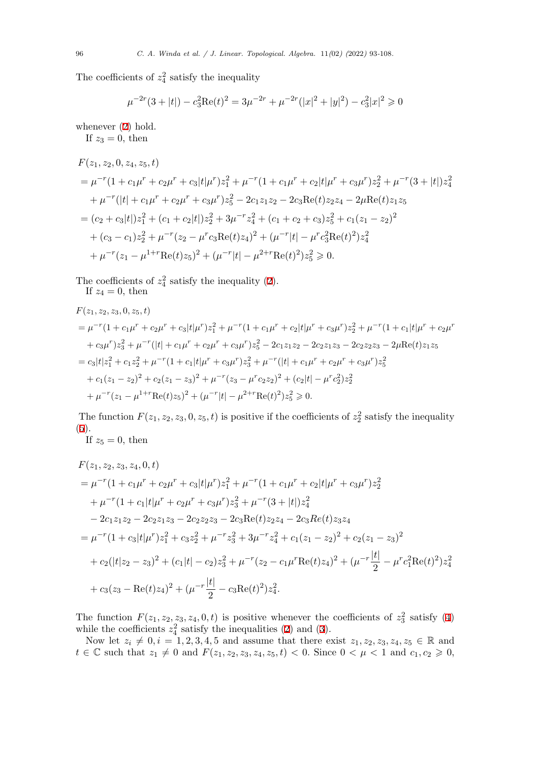The coefficients of  $z_4^2$  satisfy the inequality

$$
\mu^{-2r}(3+|t|) - c_3^2 \text{Re}(t)^2 = 3\mu^{-2r} + \mu^{-2r}(|x|^2 + |y|^2) - c_3^2 |x|^2 \ge 0
$$

whenever  $(2)$  hold.

If  $z_3 = 0$ , then

$$
F(z_1, z_2, 0, z_4, z_5, t)
$$
  
=  $\mu^{-r} (1 + c_1 \mu^r + c_2 \mu^r + c_3 |t| \mu^r) z_1^2 + \mu^{-r} (1 + c_1 \mu^r + c_2 |t| \mu^r + c_3 \mu^r) z_2^2 + \mu^{-r} (3 + |t|) z_4^2$   
+  $\mu^{-r} (|t| + c_1 \mu^r + c_2 \mu^r + c_3 \mu^r) z_5^2 - 2c_1 z_1 z_2 - 2c_3 \text{Re}(t) z_2 z_4 - 2\mu \text{Re}(t) z_1 z_5$   
=  $(c_2 + c_3 |t|) z_1^2 + (c_1 + c_2 |t|) z_2^2 + 3\mu^{-r} z_4^2 + (c_1 + c_2 + c_3) z_5^2 + c_1 (z_1 - z_2)^2$   
+  $(c_3 - c_1) z_2^2 + \mu^{-r} (z_2 - \mu^r c_3 \text{Re}(t) z_4)^2 + (\mu^{-r} |t| - \mu^r c_3^2 \text{Re}(t)^2) z_4^2$   
+  $\mu^{-r} (z_1 - \mu^{1+r} \text{Re}(t) z_5)^2 + (\mu^{-r} |t| - \mu^{2+r} \text{Re}(t)^2) z_5^2 \ge 0.$ 

The coefficients of  $z_4^2$  satisfy the inequality (2).

If 
$$
z_4 = 0
$$
, then

$$
F(z_1, z_2, z_3, 0, z_5, t)
$$
  
=  $\mu^{-r} (1 + c_1 \mu^r + c_2 \mu^r + c_3 |t| \mu^r) z_1^2 + \mu^{-r} (1 + c_1 \mu^r + c_2 |t| \mu^r + c_3 \mu^r) z_2^2 + \mu^{-r} (1 + c_1 |t| \mu^r + c_2 \mu^r$   
+  $c_3 \mu^r) z_3^2 + \mu^{-r} (|t| + c_1 \mu^r + c_2 \mu^r + c_3 \mu^r) z_5^2 - 2c_1 z_1 z_2 - 2c_2 z_1 z_3 - 2c_2 z_2 z_3 - 2\mu \text{Re}(t) z_1 z_5$   
=  $c_3 |t| z_1^2 + c_1 z_2^2 + \mu^{-r} (1 + c_1 |t| \mu^r + c_3 \mu^r) z_3^2 + \mu^{-r} (|t| + c_1 \mu^r + c_2 \mu^r + c_3 \mu^r) z_5^2$   
+  $c_1 (z_1 - z_2)^2 + c_2 (z_1 - z_3)^2 + \mu^{-r} (z_3 - \mu^r c_2 z_2)^2 + (c_2 |t| - \mu^r c_2^2) z_2^2$   
+  $\mu^{-r} (z_1 - \mu^{1+r} \text{Re}(t) z_5)^2 + (\mu^{-r} |t| - \mu^{2+r} \text{Re}(t)^2) z_5^2 \ge 0.$ 

The function  $F(z_1, z_2, z_3, 0, z_5, t)$  is positive if the coefficients of  $z_2^2$  satisfy the inequality (5).

If 
$$
z_5 = 0
$$
, then

$$
F(z_1, z_2, z_3, z_4, 0, t)
$$
  
=  $\mu^{-r} (1 + c_1 \mu^r + c_2 \mu^r + c_3 |t| \mu^r) z_1^2 + \mu^{-r} (1 + c_1 \mu^r + c_2 |t| \mu^r + c_3 \mu^r) z_2^2$   
+  $\mu^{-r} (1 + c_1 |t| \mu^r + c_2 \mu^r + c_3 \mu^r) z_3^2 + \mu^{-r} (3 + |t|) z_4^2$   
-  $2c_1 z_1 z_2 - 2c_2 z_1 z_3 - 2c_2 z_2 z_3 - 2c_3 \text{Re}(t) z_2 z_4 - 2c_3 \text{Re}(t) z_3 z_4$   
=  $\mu^{-r} (1 + c_3 |t| \mu^r) z_1^2 + c_3 z_2^2 + \mu^{-r} z_3^2 + 3\mu^{-r} z_4^2 + c_1 (z_1 - z_2)^2 + c_2 (z_1 - z_3)^2$   
+  $c_2 (|t|z_2 - z_3)^2 + (c_1 |t| - c_2) z_3^2 + \mu^{-r} (z_2 - c_1 \mu^r \text{Re}(t) z_4)^2 + (\mu^{-r} \frac{|t|}{2} - \mu^r c_1^2 \text{Re}(t)^2) z_4^2$   
+  $c_3 (z_3 - \text{Re}(t) z_4)^2 + (\mu^{-r} \frac{|t|}{2} - c_3 \text{Re}(t)^2) z_4^2$ .

The function  $F(z_1, z_2, z_3, z_4, 0, t)$  is positive whenever the coefficients of  $z_3^2$  satisfy (4) while the coefficients  $z_4^2$  satisfy the inequalities (2) and (3).

Now let  $z_i \neq 0, i = 1, 2, 3, 4, 5$  and assume that there exist  $z_1, z_2, z_3, z_4, z_5 \in \mathbb{R}$  and  $t \in \mathbb{C}$  such that  $z_1 \neq 0$  and  $F(z_1, z_2, z_3, z_4, z_5, t) < 0$ . Since  $0 < \mu < 1$  and  $c_1, c_2 \geq 0$ ,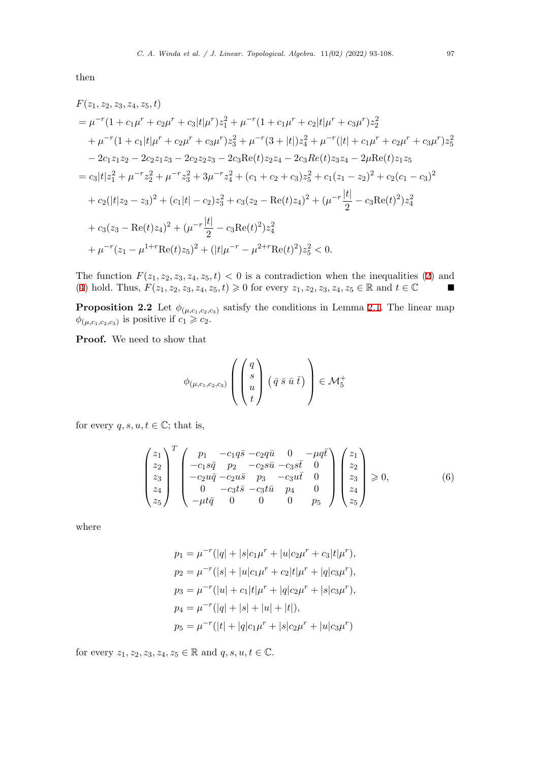then

$$
F(z_1, z_2, z_3, z_4, z_5, t)
$$
  
=  $\mu^{-r} (1 + c_1 \mu^r + c_2 \mu^r + c_3 |t| \mu^r) z_1^2 + \mu^{-r} (1 + c_1 \mu^r + c_2 |t| \mu^r + c_3 \mu^r) z_2^2$   
+  $\mu^{-r} (1 + c_1 |t| \mu^r + c_2 \mu^r + c_3 \mu^r) z_3^2 + \mu^{-r} (3 + |t|) z_4^2 + \mu^{-r} (|t| + c_1 \mu^r + c_2 \mu^r + c_3 \mu^r) z_5^2$   
-  $2c_1 z_1 z_2 - 2c_2 z_1 z_3 - 2c_2 z_2 z_3 - 2c_3 \text{Re}(t) z_2 z_4 - 2c_3 \text{Re}(t) z_3 z_4 - 2\mu \text{Re}(t) z_1 z_5$   
=  $c_3 |t| z_1^2 + \mu^{-r} z_2^2 + \mu^{-r} z_3^2 + 3\mu^{-r} z_4^2 + (c_1 + c_2 + c_3) z_5^2 + c_1 (z_1 - z_2)^2 + c_2 (c_1 - c_3)^2$   
+  $c_2 (|t| z_2 - z_3)^2 + (c_1 |t| - c_2) z_3^2 + c_3 (z_2 - \text{Re}(t) z_4)^2 + (\mu^{-r} \frac{|t|}{2} - c_3 \text{Re}(t)^2) z_4^2$   
+  $c_3 (z_3 - \text{Re}(t) z_4)^2 + (\mu^{-r} \frac{|t|}{2} - c_3 \text{Re}(t)^2) z_4^2$   
+  $\mu^{-r} (z_1 - \mu^{1+r} \text{Re}(t) z_5)^2 + (|t| \mu^{-r} - \mu^{2+r} \text{Re}(t)^2) z_5^2 < 0.$ 

The function  $F(z_1, z_2, z_3, z_4, z_5, t) < 0$  is a contradiction when the inequalities (2) and  $(4)$  hold. Thus,  $F(z_1, z_2, z_3, z_4, z_5, t) \geq 0$  for every  $z_1, z_2, z_3, z_4, z_5 \in \mathbb{R}$  and  $t \in \mathbb{C}$   $\blacksquare$ 

**Proposition 2.2** Let  $\phi_{(\mu,c_1,c_2,c_3)}$  satisfy the conditions in Lemma 2.1. The linear map  $\phi_{(\mu,c_1,c_2,c_3)}$  is positive if  $c_1 \geqslant c_2$ .

<span id="page-4-0"></span>**[Pr](#page-2-0)oof.** We need to show that

$$
\phi_{(\mu,c_1,c_2,c_3)}\left(\begin{pmatrix}q\\s\\u\\t\end{pmatrix}\left(\bar{q}\,\bar{s}\,\bar{u}\,\bar{t}\right)\right)\in\mathcal{M}_5^+
$$

for every  $q, s, u, t \in \mathbb{C}$ ; that is,

$$
\begin{pmatrix} z_1 \\ z_2 \\ z_3 \\ z_4 \\ z_5 \end{pmatrix}^T \begin{pmatrix} p_1 & -c_1 q \bar{s} & -c_2 q \bar{u} & 0 & -\mu q \bar{t} \\ -c_1 s \bar{q} & p_2 & -c_2 s \bar{u} & -c_3 s \bar{t} & 0 \\ -c_2 u \bar{q} & -c_2 u \bar{s} & p_3 & -c_3 u \bar{t} & 0 \\ 0 & -c_3 t \bar{s} & -c_3 t \bar{u} & p_4 & 0 \\ -\mu t \bar{q} & 0 & 0 & 0 & p_5 \end{pmatrix} \begin{pmatrix} z_1 \\ z_2 \\ z_3 \\ z_4 \\ z_5 \end{pmatrix} \ge 0, \qquad (6)
$$

where

$$
p_1 = \mu^{-r}(|q| + |s|c_1\mu^r + |u|c_2\mu^r + c_3|t|\mu^r),
$$
  
\n
$$
p_2 = \mu^{-r}(|s| + |u|c_1\mu^r + c_2|t|\mu^r + |q|c_3\mu^r),
$$
  
\n
$$
p_3 = \mu^{-r}(|u| + c_1|t|\mu^r + |q|c_2\mu^r + |s|c_3\mu^r),
$$
  
\n
$$
p_4 = \mu^{-r}(|q| + |s| + |u| + |t|),
$$
  
\n
$$
p_5 = \mu^{-r}(|t| + |q|c_1\mu^r + |s|c_2\mu^r + |u|c_3\mu^r)
$$

for every  $z_1, z_2, z_3, z_4, z_5 \in \mathbb{R}$  and  $q, s, u, t \in \mathbb{C}$ .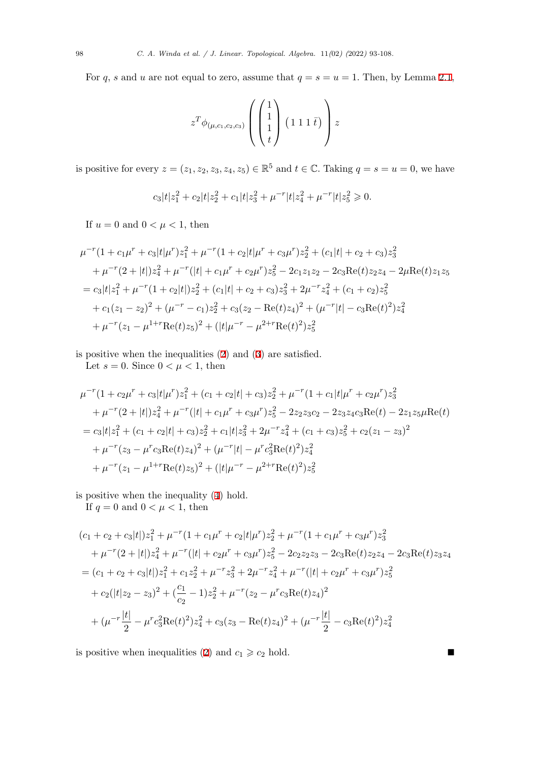For *q*, *s* and *u* are not equal to zero, assume that  $q = s = u = 1$ . Then, by Lemma 2.1,

$$
z^T \phi_{(\mu,c_1,c_2,c_3)} \left( \begin{pmatrix} 1 \\ 1 \\ 1 \\ t \end{pmatrix} (1 \ 1 \ 1 \ \bar{t}) \right) z
$$

is positive for every  $z = (z_1, z_2, z_3, z_4, z_5) \in \mathbb{R}^5$  and  $t \in \mathbb{C}$ . Taking  $q = s = u = 0$ , we have

$$
c_3|t|z_1^2 + c_2|t|z_2^2 + c_1|t|z_3^2 + \mu^{-r}|t|z_4^2 + \mu^{-r}|t|z_5^2 \ge 0.
$$

If  $u = 0$  and  $0 < \mu < 1$ , then

$$
\mu^{-r}(1 + c_1\mu^r + c_3|t|\mu^r)z_1^2 + \mu^{-r}(1 + c_2|t|\mu^r + c_3\mu^r)z_2^2 + (c_1|t| + c_2 + c_3)z_3^2
$$
  
+ 
$$
\mu^{-r}(2 + |t|)z_4^2 + \mu^{-r}(|t| + c_1\mu^r + c_2\mu^r)z_5^2 - 2c_1z_1z_2 - 2c_3 \text{Re}(t)z_2z_4 - 2\mu \text{Re}(t)z_1z_5
$$
  
= 
$$
c_3|t|z_1^2 + \mu^{-r}(1 + c_2|t|)z_2^2 + (c_1|t| + c_2 + c_3)z_3^2 + 2\mu^{-r}z_4^2 + (c_1 + c_2)z_5^2
$$
  
+ 
$$
c_1(z_1 - z_2)^2 + (\mu^{-r} - c_1)z_2^2 + c_3(z_2 - \text{Re}(t)z_4)^2 + (\mu^{-r}|t| - c_3 \text{Re}(t)^2)z_4^2
$$
  
+ 
$$
\mu^{-r}(z_1 - \mu^{1+r}\text{Re}(t)z_5)^2 + (|t|\mu^{-r} - \mu^{2+r}\text{Re}(t)^2)z_5^2
$$

is positive when the inequalities (2) and (3) are satisfied.

Let  $s = 0$ . Since  $0 < \mu < 1$ , then

$$
\mu^{-r}(1 + c_2\mu^r + c_3|t|\mu^r)z_1^2 + (c_1 + c_2|t| + c_3)z_2^2 + \mu^{-r}(1 + c_1|t|\mu^r + c_2\mu^r)z_3^2
$$
  
+ 
$$
\mu^{-r}(2 + |t|)z_4^2 + \mu^{-r}(|t| + c_1\mu^r + c_3\mu^r)z_5^2 - 2z_2z_3c_2 - 2z_3z_4c_3\text{Re}(t) - 2z_1z_5\mu\text{Re}(t)
$$
  
= 
$$
c_3|t|z_1^2 + (c_1 + c_2|t| + c_3)z_2^2 + c_1|t|z_3^2 + 2\mu^{-r}z_4^2 + (c_1 + c_3)z_5^2 + c_2(z_1 - z_3)^2
$$
  
+ 
$$
\mu^{-r}(z_3 - \mu^r c_3\text{Re}(t)z_4)^2 + (\mu^{-r}|t| - \mu^r c_3^2\text{Re}(t)^2)z_4^2
$$
  
+ 
$$
\mu^{-r}(z_1 - \mu^{1+r}\text{Re}(t)z_5)^2 + (|t|\mu^{-r} - \mu^{2+r}\text{Re}(t)^2)z_5^2
$$

is positive when the inequality (4) hold.

If  $q = 0$  and  $0 < \mu < 1$ , then

$$
(c_1 + c_2 + c_3|t|)z_1^2 + \mu^{-r}(1 + c_1\mu^r + c_2|t|\mu^r)z_2^2 + \mu^{-r}(1 + c_1\mu^r + c_3\mu^r)z_3^2
$$
  
+ 
$$
\mu^{-r}(2 + |t|)z_4^2 + \mu^{-r}(|t| + c_2\mu^r + c_3\mu^r)z_5^2 - 2c_2z_2z_3 - 2c_3\text{Re}(t)z_2z_4 - 2c_3\text{Re}(t)z_3z_4
$$
  
= 
$$
(c_1 + c_2 + c_3|t|)z_1^2 + c_1z_2^2 + \mu^{-r}z_3^2 + 2\mu^{-r}z_4^2 + \mu^{-r}(|t| + c_2\mu^r + c_3\mu^r)z_5^2
$$
  
+ 
$$
c_2(|t|z_2 - z_3)^2 + (\frac{c_1}{c_2} - 1)z_2^2 + \mu^{-r}(z_2 - \mu^r c_3\text{Re}(t)z_4)^2
$$
  
+ 
$$
(\mu^{-r}\frac{|t|}{2} - \mu^r c_3^2\text{Re}(t)^2)z_4^2 + c_3(z_3 - \text{Re}(t)z_4)^2 + (\mu^{-r}\frac{|t|}{2} - c_3\text{Re}(t)^2)z_4^2
$$

is positive when inequalities (2) and  $c_1 \geq c_2$  hold. ■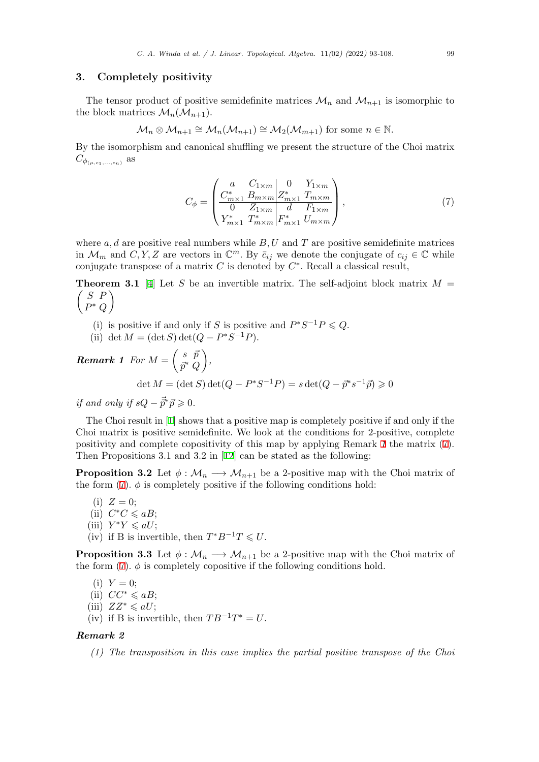# **3. Completely positivity**

The tensor product of positive semidefinite matrices  $\mathcal{M}_n$  and  $\mathcal{M}_{n+1}$  is isomorphic to the block matrices  $\mathcal{M}_n(\mathcal{M}_{n+1})$ .

$$
\mathcal{M}_n \otimes \mathcal{M}_{n+1} \cong \mathcal{M}_n(\mathcal{M}_{n+1}) \cong \mathcal{M}_2(\mathcal{M}_{m+1})
$$
 for some  $n \in \mathbb{N}$ .

By the isomorphism and canonical shuffling we present the structure of the Choi matrix  $C_{\phi_{(\mu,c_1,...,c_n)}}$  as

<span id="page-6-2"></span><span id="page-6-0"></span>
$$
C_{\phi} = \begin{pmatrix} a & C_{1 \times m} & 0 & Y_{1 \times m} \\ C_{m \times 1}^{*} & B_{m \times m} & Z_{m \times 1}^{*} & T_{m \times m} \\ 0 & Z_{1 \times m} & d & F_{1 \times m} \\ Y_{m \times 1}^{*} & T_{m \times m}^{*} & F_{m \times 1}^{*} & U_{m \times m} \end{pmatrix},
$$
(7)

where  $a, d$  are positive real numbers while  $B, U$  and  $T$  are positive semidefinite matrices in  $\mathcal{M}_m$  and  $C, Y, Z$  are vectors in  $\mathbb{C}^m$ . By  $\bar{c}_{ij}$  we denote the conjugate of  $c_{ij} \in \mathbb{C}$  while conjugate transpose of a matrix *C* is denoted by *C ∗* . Recall a classical result,

 *S P* **Theorem 3.1** [4] Let *S* be an invertible matrix. The self-adjoint block matrix  $M =$ *P ∗ Q*  $\setminus$ 

- (i) is positiv[e](#page-15-4) if and only if *S* is positive and  $P^*S^{-1}P \leq Q$ .
- (ii) det  $M = (\det S) \det(Q P^*S^{-1}P)$ .

 $\bm{Remark\ 1}\ \ \pmb{For\ }M=\left( \begin{array}{cc} s & \bar{p} \\ \frac{-\pi}{2} & \bar{p} \end{array} \right)$ *⃗p ∗ Q ,*

$$
\det M = (\det S) \det (Q - P^*S^{-1}P) = s \det (Q - \vec{p}^*s^{-1}\vec{p}) \ge 0
$$

<span id="page-6-1"></span>*if and only if*  $sQ - \vec{p}$ <sup>*∗*</sup> $\vec{p} \geq 0$ .

The Choi result in [1] shows that a positive map is completely positive if and only if the Choi matrix is positive semidefinite. We look at the conditions for 2-positive, complete positivity and complete copositivity of this map by applying Remark *1* the matrix (7). Then Propositions 3.1 and 3.2 in [12] can be stated as the following:

**Proposi[t](#page-15-0)ion 3.2** Let  $\phi : \mathcal{M}_n \longrightarrow \mathcal{M}_{n+1}$  be a 2-positive map with the Choi matrix of the form  $(7)$ .  $\phi$  is completely positive if the following conditions hold:

(i)  $Z = 0$ ;

- $(iii)$   $C^*C \leq aB;$
- $(iii)$   $Y^*Y \leq aU;$  $Y^*Y \leq aU;$
- (iv) if B is invertible, then  $T^*B^{-1}T \leq U$ .

**Proposition 3.3** Let  $\phi : \mathcal{M}_n \longrightarrow \mathcal{M}_{n+1}$  be a 2-positive map with the Choi matrix of the form  $(7)$ .  $\phi$  is completely copositive if the following conditions hold.

- $(i)$   $Y = 0$ ;
- (ii)  $CC^*$  ≤  $aB$ ;
- (iii)  $ZZ^* \leqslant aU$  $ZZ^* \leqslant aU$ ;
- (iv) if B is invertible, then  $TB^{-1}T^* = U$ .

#### *Remark 2*

*(1) The transposition in this case implies the partial positive transpose of the Choi*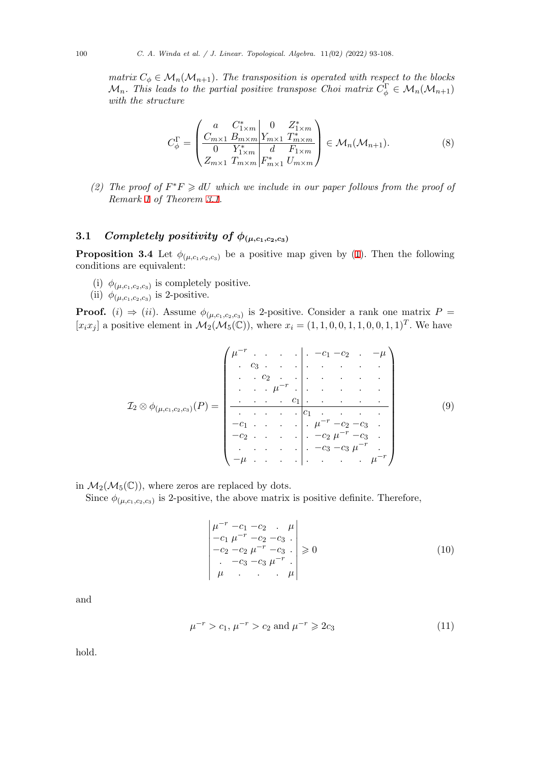*matrix*  $C_{\phi} \in \mathcal{M}_n(\mathcal{M}_{n+1})$ *. The transposition is operated with respect to the blocks*  $\mathcal{M}_n$ *. This leads to the partial positive transpose Choi matrix*  $C_{\phi}^{\Gamma} \in \mathcal{M}_n(\mathcal{M}_{n+1})$ *with the structure*

$$
C_{\phi}^{\Gamma} = \begin{pmatrix} a & C_{1 \times m}^{*} & 0 & Z_{1 \times m}^{*} \\ C_{m \times 1} & B_{m \times m} & Y_{m \times 1} & T_{m \times m}^{*} \\ 0 & Y_{1 \times m}^{*} & d & F_{1 \times m} \\ Z_{m \times 1} & T_{m \times m} & F_{m \times 1}^{*} & U_{m \times m} \end{pmatrix} \in \mathcal{M}_{n}(\mathcal{M}_{n+1}).
$$
 (8)

*(2)* The proof of  $F^*F \ge dU$  which we include in our paper follows from the proof of *Remark 1 of Theorem 3.1.*

# **3.1** *Comple[te](#page-6-1)ly positiv[ity](#page-6-2) of*  $\phi_{(\mu,c_1,c_2,c_3)}$

**Proposition 3.4** Let  $\phi_{(\mu,c_1,c_2,c_3)}$  be a positive map given by (1). Then the following conditions are equivalent:

- (i)  $\phi_{(\mu,c_1,c_2,c_3)}$  is completely positive.
- (ii)  $\phi_{(\mu,c_1,c_2,c_3)}$  is 2-positive.

<span id="page-7-0"></span>**Proof.** (*i*)  $\Rightarrow$  (*ii*). Assume  $\phi_{(\mu,c_1,c_2,c_3)}$  is 2-positive. Consider a rank one matrix  $P =$  $[x_ix_j]$  a positive element in  $\mathcal{M}_2(\mathcal{M}_5(\mathbb{C}))$ , where  $x_i = (1, 1, 0, 0, 1, 1, 0, 0, 1, 1)^T$ . We have

$$
\mathcal{I}_2 \otimes \phi_{(\mu,c_1,c_2,c_3)}(P) = \begin{pmatrix} \mu^{-r} & \cdots & \cdots & -c_1 - c_2 & \cdots & -\mu \\ \vdots & \vdots & \ddots & \vdots & \ddots & \vdots \\ \vdots & \ddots & \vdots & \ddots & \ddots & \vdots \\ \hline \cdots & \cdots & \cdots & \vdots & \ddots & \vdots \\ \hline \cdots & \cdots & \cdots & \vdots & \vdots \\ -c_1 & \cdots & \cdots & \vdots & \vdots \\ -c_2 & \cdots & \cdots & \cdots & -c_2 & \mu^{-r} & -c_3 \\ \vdots & \vdots & \ddots & \ddots & \vdots & \vdots \\ -\mu & \cdots & \cdots & \cdots & \mu^{-r} \end{pmatrix} \qquad (9)
$$

in  $\mathcal{M}_2(\mathcal{M}_5(\mathbb{C}))$ , where zeros are replaced by dots.

Since  $\phi_{(\mu,c_1,c_2,c_3)}$  is 2-positive, the above matrix is positive definite. Therefore,

$$
\begin{vmatrix} \mu^{-r} - c_1 - c_2 & \mu \\ -c_1 \mu^{-r} - c_2 - c_3 \\ -c_2 - c_2 \mu^{-r} - c_3 \\ -c_3 - c_3 \mu^{-r} \\ \mu & \mu \end{vmatrix} \ge 0
$$
\n(10)

and

$$
\mu^{-r} > c_1, \, \mu^{-r} > c_2 \text{ and } \mu^{-r} \geqslant 2c_3 \tag{11}
$$

hold.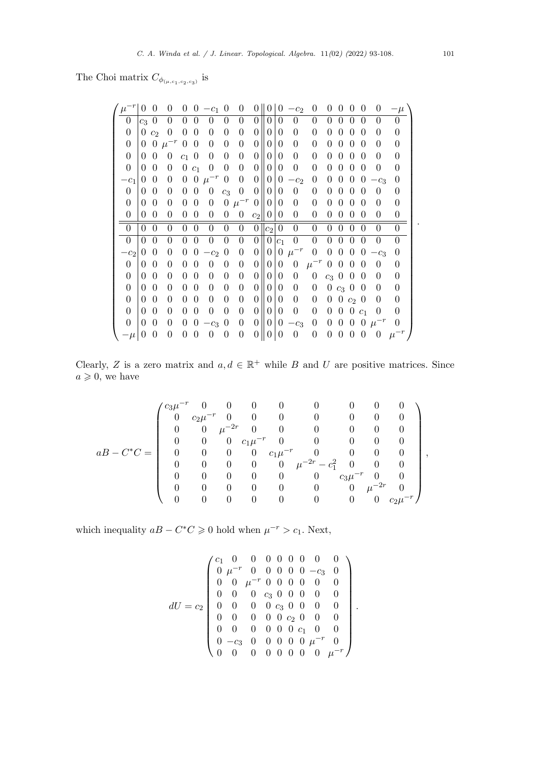The Choi matrix  $C_{\phi_{(\mu,c_1,c_2,c_3)}}$  is

| $\mu^-$        | $\Omega$ | 0              | 0              | 0                | 0              | $-c_1$           | $\overline{0}$ | $\overline{0}$   | $\Omega$       | $\theta$         | 0              | $-c2$          | $\theta$         | $\Omega$       | $\Omega$         | $\Omega$       | 0              | 0              | $-\mu$         |
|----------------|----------|----------------|----------------|------------------|----------------|------------------|----------------|------------------|----------------|------------------|----------------|----------------|------------------|----------------|------------------|----------------|----------------|----------------|----------------|
| 0              | $c_3$    | $\theta$       | $\Omega$       | 0                | $\theta$       | 0                | $\Omega$       | 0                | $\Omega$       | 0                | 0              | 0              | $\Omega$         | 0              | $\Omega$         | $\Omega$       | $\theta$       | 0              | $\theta$       |
| 0              | 0        | c <sub>2</sub> | $\theta$       | $\overline{0}$   | $\overline{0}$ | $\theta$         | $\theta$       | 0                | 0              | 0                | 0              | 0              | $\overline{0}$   | $\Omega$       | $\theta$         | $\Omega$       | 0              | 0              | 0              |
| $\overline{0}$ | 0        | 0              | $\mu^{-r}$     | 0                | $\theta$       | $\theta$         | $\theta$       | 0                | $\theta$       | 0                | 0              | $\Omega$       | $\overline{0}$   | $\Omega$       | $\Omega$         | $\Omega$       | 0              | 0              | 0              |
| $\theta$       | $\Omega$ | $\Omega$       | $\theta$       | $\overline{c_1}$ | $\theta$       | $\theta$         | $\theta$       | 0                | $\theta$       | 0                | 0              | $\Omega$       | $\Omega$         | 0              | $\theta$         | $\Omega$       | 0              | 0              | 0              |
| $\overline{0}$ | $\Omega$ | $\theta$       | 0              | $\overline{0}$   | c <sub>1</sub> | $\overline{0}$   | $\theta$       | 0                | $\theta$       | $\Omega$         | 0              | $\Omega$       | $\overline{0}$   | $\Omega$       | $\Omega$         | $\Omega$       | $\theta$       | 0              | 0              |
| $-c_1$         | $\Omega$ | $\Omega$       | $\theta$       | $\theta$         | $\overline{0}$ | $\mu^{-r}$       | $\overline{0}$ | $\theta$         | $\Omega$       | $\theta$         | $\theta$       | $-c2$          | $\theta$         | $\Omega$       | $\Omega$         | $\Omega$       | $\theta$       | $-c_3$         | $\Omega$       |
| $\overline{0}$ | $\Omega$ | $\theta$       | $\theta$       | 0                | $\Omega$       | 0                | $c_3$          | 0                | 0              | 0                | 0              | $\theta$       | $\overline{0}$   | 0              | $\Omega$         | $\Omega$       | $\theta$       | $\Omega$       | 0              |
| $\overline{0}$ | 0        | $\Omega$       | $\theta$       | $\theta$         | $\overline{0}$ | $\boldsymbol{0}$ | $\overline{0}$ | $\mu^{-r}$       | $\theta$       | $\overline{0}$   | 0              | $\Omega$       | $\overline{0}$   | $\Omega$       | $\Omega$         | $\Omega$       | $\theta$       | $\Omega$       | $\theta$       |
| $\theta$       | 0        | $\theta$       | 0              | 0                | $\overline{0}$ | $\overline{0}$   | $\overline{0}$ | $\boldsymbol{0}$ | $c_2$          | $\overline{0}$   | $\Omega$       | $\theta$       | $\theta$         | $\overline{0}$ | $\boldsymbol{0}$ | $\overline{0}$ | $\Omega$       | $\Omega$       | $\theta$       |
| $\theta$       | $\Omega$ | $\overline{0}$ | $\overline{0}$ | $\overline{0}$   | $\overline{0}$ | $\overline{0}$   | $\overline{0}$ | $\overline{0}$   | $\theta$       | $ c_2 $          | $\overline{0}$ | $\overline{0}$ | $\overline{0}$   | $\overline{0}$ | $\overline{0}$   | $\overline{0}$ | $\theta$       | $\theta$       | $\overline{0}$ |
| $\theta$       | $\Omega$ | $\Omega$       | 0              | $\theta$         | $\theta$       | $\overline{0}$   | $\theta$       | 0                | $\theta$       | $\overline{0}$   | c <sub>1</sub> | $\Omega$       | $\overline{0}$   | $\overline{0}$ | $\theta$         | $\overline{0}$ | $\theta$       | $\overline{0}$ | $\overline{0}$ |
| $-c_2$         | $\Omega$ | $\Omega$       | $\theta$       | $\theta$         | $\theta$       | $-c2$            | $\overline{0}$ | 0                | $\Omega$       | $\overline{0}$   | $\overline{0}$ | $\mu^{-r}$     | $\boldsymbol{0}$ | $\overline{0}$ | $\boldsymbol{0}$ | $\overline{0}$ | $\theta$       | $-c_3$         | $\theta$       |
| $\theta$       | $\Omega$ | 0              | $\theta$       | 0                | $\theta$       | 0                | $\theta$       | 0                | $\theta$       | 0                | 0              | $\overline{0}$ | $\mu^{-r}$       | $\overline{0}$ | $\Omega$         | $\Omega$       | 0              | $\Omega$       | 0              |
| $\overline{0}$ | $\theta$ | 0              | $\theta$       | 0                | $\theta$       | $\Omega$         | $\theta$       | 0                | $\Omega$       | $\Omega$         | $\Omega$       | $\Omega$       | $\overline{0}$   | $c_3$ 0        |                  | $\theta$       | $\theta$       | 0              | 0              |
| $\overline{0}$ | $\theta$ | 0              | $\theta$       | $\Omega$         | $\theta$       | $\theta$         | $\overline{0}$ | 0                | $\Omega$       | $\Omega$         | 0              | $\Omega$       | $\overline{0}$   | $\overline{0}$ | $c_3$ 0          |                | $\Omega$       | 0              | 0              |
| $\overline{0}$ | $\Omega$ | $\Omega$       | 0              | 0                | $\Omega$       | $\Omega$         | $\theta$       | 0                | $\overline{0}$ | 0                | 0              | $\Omega$       | $\overline{0}$   | $\overline{0}$ | $\overline{0}$   | $c_2$ 0        |                | $\theta$       | $\theta$       |
| $\overline{0}$ | $\Omega$ | $\Omega$       | $\theta$       | $\Omega$         | $\Omega$       | $\overline{0}$   | $\Omega$       | 0                | $\Omega$       | $\boldsymbol{0}$ | 0              | $\Omega$       | $\overline{0}$   | $\overline{0}$ | $\Omega$         | $\overline{0}$ | C <sub>1</sub> | $\Omega$       | 0              |
| $\overline{0}$ | 0        | 0              | 0              | $\theta$         | $\Omega$       | $-c_3$           | $\overline{0}$ | $\overline{0}$   | $\overline{0}$ | 0                | 0              | $-c_3$         | $\overline{0}$   | $\overline{0}$ | $\overline{0}$   | $\theta$       | $\theta$       | $\mu^{-r}$     | 0              |
|                |          |                |                |                  |                |                  |                |                  |                |                  |                |                |                  |                |                  |                |                |                | $\mu^{-r}$     |

Clearly, *Z* is a zero matrix and  $a, d \in \mathbb{R}^+$  while *B* and *U* are positive matrices. Since  $a \geqslant 0$ , we have

$$
aB-C^{*}C=\left(\begin{array}{ccccccccccccc}c_3\mu^{-r}&0&0&0&0&0&0&0&0\\0&c_2\mu^{-r}&0&0&0&0&0&0&0\\0&0&\mu^{-2r}&0&0&0&0&0&0\\0&0&0&c_1\mu^{-r}&0&0&0&0&0\\0&0&0&0&c_1\mu^{-r}&0&0&0&0\\0&0&0&0&0&\mu^{-2r}-c_1^2&0&0&0\\0&0&0&0&0&0&c_3\mu^{-r}&0&0\\0&0&0&0&0&0&0&\mu^{-2r}&0\\0&0&0&0&0&0&0&0&c_2\mu^{-r}\end{array}\right),
$$

which inequality  $aB - C^*C \geq 0$  hold when  $\mu^{-r} > c_1$ . Next,

$$
dU = c_2 \begin{pmatrix} c_1 & 0 & 0 & 0 & 0 & 0 & 0 & 0 & 0 \\ 0 & \mu^{-r} & 0 & 0 & 0 & 0 & 0 & -c_3 & 0 \\ 0 & 0 & \mu^{-r} & 0 & 0 & 0 & 0 & 0 & 0 \\ 0 & 0 & 0 & c_3 & 0 & 0 & 0 & 0 & 0 \\ 0 & 0 & 0 & 0 & c_3 & 0 & 0 & 0 & 0 \\ 0 & 0 & 0 & 0 & 0 & c_2 & 0 & 0 & 0 \\ 0 & 0 & 0 & 0 & 0 & c_1 & 0 & 0 & 0 \\ 0 & -c_3 & 0 & 0 & 0 & 0 & 0 & \mu^{-r} & 0 \\ 0 & 0 & 0 & 0 & 0 & 0 & 0 & 0 & \mu^{-r} \end{pmatrix}.
$$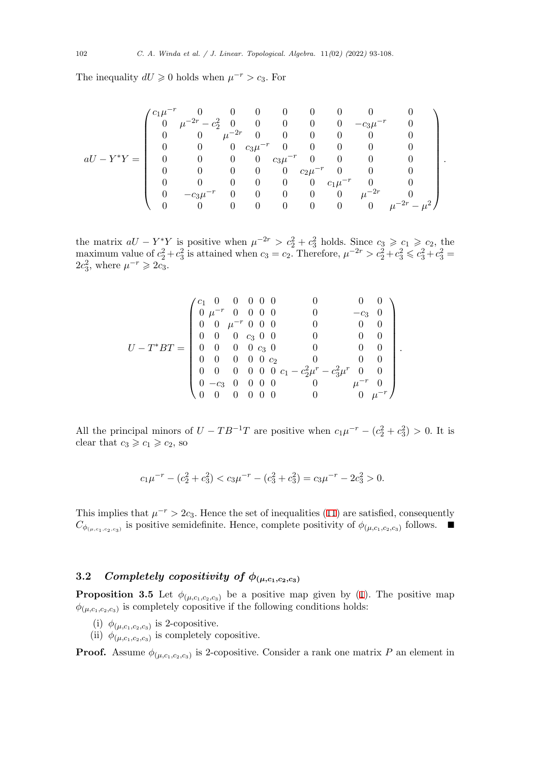The inequality  $dU \ge 0$  holds when  $\mu^{-r} > c_3$ . For

$$
aU-Y^*Y=\left(\begin{array}{ccccccccccccc}c_1\mu^{-r}&0&0&0&0&0&0&0&0&0\\0&\mu^{-2r}-c_2^2&0&0&0&0&0&-c_3\mu^{-r}&0\\0&0&\mu^{-2r}&0&0&0&0&0&0\\0&0&0&c_3\mu^{-r}&0&0&0&0&0\\0&0&0&0&c_3\mu^{-r}&0&0&0&0\\0&0&0&0&0&c_2\mu^{-r}&0&0&0\\0&0&0&0&0&0&c_1\mu^{-r}&0&0\\0&-c_3\mu^{-r}&0&0&0&0&\mu^{-2r}&0\\0&0&0&0&0&0&0&\mu^{-2r}-\mu^2\end{array}\right).
$$

the matrix  $aU - Y^*Y$  is positive when  $\mu^{-2r} > c_2^2 + c_3^2$  holds. Since  $c_3 \geq c_1 \geq c_2$ , the maximum value of  $c_2^2 + c_3^2$  is attained when  $c_3 = c_2$ . Therefore,  $\mu^{-2r} > c_2^2 + c_3^2 \leq c_3^2 + c_3^2 =$  $2c_3^2$ , where  $\mu^{-r} \geqslant 2c_3$ .

$$
U-T^*BT=\left(\begin{array}{ccccccccc}c_1&0&0&0&0&0&0&0&0\\0&\mu^{-r}&0&0&0&0&0&-c_3&0\\0&0&\mu^{-r}&0&0&0&0&0&0\\0&0&0&c_3&0&0&0&0&0\\0&0&0&0&c_3&0&0&0&0\\0&0&0&0&0&c_2&0&0&0\\0&0&0&0&0&0&c_1-c_2^2\mu^r-c_3^2\mu^r&0&0\\0&-c_3&0&0&0&0&0&\mu^{-r}&0\\0&0&0&0&0&0&0&0&\mu^{-r}\end{array}\right).
$$

All the principal minors of  $U - TB^{-1}T$  are positive when  $c_1 \mu^{-r} - (c_2^2 + c_3^2) > 0$ . It is clear that  $c_3 \geqslant c_1 \geqslant c_2$ , so

$$
c_1\mu^{-r} - (c_2^2 + c_3^2) < c_3\mu^{-r} - (c_3^2 + c_3^2) = c_3\mu^{-r} - 2c_3^2 > 0.
$$

This implies that  $\mu^{-r} > 2c_3$ . Hence the set of inequalities (11) are satisfied, consequently *C*<sup> $\phi$ </sup>( $\mu$ ,*c*<sub>1</sub>,*c*<sub>2</sub>,*c*<sub>3</sub>)</sub> is positive semidefinite. Hence, complete positivity of  $\phi$ <sub>( $\mu$ ,*c*<sub>1</sub>,*c*<sub>2</sub>,*c*<sub>3</sub>)</sub> follows. ■

# **3.2** *Completely copositivity of*  $\phi_{(\mu,c_1,c_2,c_3)}$

**Proposition 3.5** Let  $\phi_{(\mu,c_1,c_2,c_3)}$  be a positive map given by (1). The positive map  $\phi_{(\mu,c_1,c_2,c_3)}$  is completely copositive if the following conditions holds:

- (i)  $\phi_{(\mu,c_1,c_2,c_3)}$  is 2-copositive.
- (ii)  $\phi_{(\mu,c_1,c_2,c_3)}$  is completely copositive.

<span id="page-9-0"></span>**Proof.** Assume  $\phi_{(\mu,c_1,c_2,c_3)}$  is 2-copositive. Consider a rank one matrix *P* an element in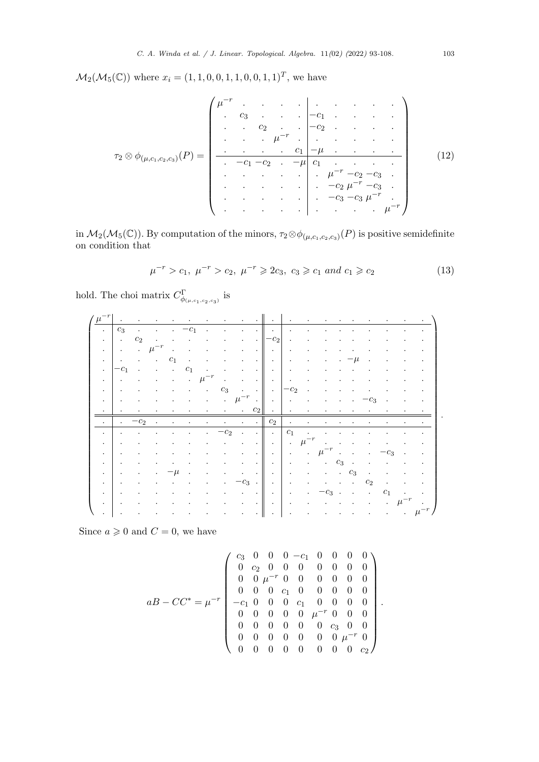$M_2(M_5(\mathbb{C}))$  where  $x_i = (1, 1, 0, 0, 1, 1, 0, 0, 1, 1)^T$ , we have

*τ*<sup>2</sup> *⊗ ϕ*(*µ,c*1*,c*2*,c*3) (*P*) = *µ −r . . . . . . . . . . c*<sup>3</sup> *. . . −c*<sup>1</sup> *. . . . . . c*<sup>2</sup> *. . −c*<sup>2</sup> *. . . . . . . µ−<sup>r</sup> . . . . . . . . . . c*<sup>1</sup> *−µ . . . . . −c*<sup>1</sup> *−c*<sup>2</sup> *. −µ c*<sup>1</sup> *. . . . . . . . . . µ−<sup>r</sup> −c*<sup>2</sup> *−c*<sup>3</sup> *. . . . . . . −c*<sup>2</sup> *µ <sup>−</sup><sup>r</sup> −c*<sup>3</sup> *. . . . . . . −c*<sup>3</sup> *−c*<sup>3</sup> *µ −r . . . . . . . . . . µ−<sup>r</sup>* (12)

in  $M_2(M_5(\mathbb{C}))$ . By computation of the minors,  $\tau_2 \otimes \phi_{(\mu,c_1,c_2,c_3)}(P)$  is positive semidefinite on condition that

$$
\mu^{-r} > c_1, \ \mu^{-r} > c_2, \ \mu^{-r} \geq 2c_3, \ c_3 \geq c_1 \ and \ c_1 \geq c_2 \tag{13}
$$

hold. The choi matrix  $C^{\Gamma}_{\phi_{(\mu,c_1,c_2,c_3)}}$  is

| $\mu^-$              |                      |                          |                         |                      |                |                      |                         |                                 | $\cdot$ $\cdot$ $\cdot$ $\cdot$ $\cdot$ $\cdot$ |                          |                      |                                                                    |                |                      |               |           |                      |  |
|----------------------|----------------------|--------------------------|-------------------------|----------------------|----------------|----------------------|-------------------------|---------------------------------|-------------------------------------------------|--------------------------|----------------------|--------------------------------------------------------------------|----------------|----------------------|---------------|-----------|----------------------|--|
| $\cdot$              | $c_3$                | $\bullet$                |                         | $\cdot$              |                | $\ddot{\phantom{a}}$ |                         |                                 | $\ddot{\phantom{0}}$                            | $\cdot$                  | $\ddot{\phantom{a}}$ |                                                                    |                |                      |               |           |                      |  |
| $\ddot{\phantom{0}}$ | $\sim$ $\sim$        | c <sub>2</sub>           | $\sim 100$ km s $^{-1}$ | $\ddot{\phantom{0}}$ |                |                      |                         | $\cdot$                         | $\vert -c_2 \vert$                              | $\cdot$                  | $\cdot$              |                                                                    |                |                      |               |           |                      |  |
| $\ddot{\phantom{a}}$ | $\sim$               |                          | $\mu^{-r}$              | $\bullet$            |                |                      |                         | $\ddot{\phantom{0}}$            |                                                 | $\ddot{\phantom{1}}$     | $\ddot{\phantom{0}}$ |                                                                    |                |                      |               |           |                      |  |
| $\sim$               | $\sim$ 100 $\pm$     | $\blacksquare$           | <b>Contractor</b>       | $c_1$                | $\bullet$      | $\bullet$            | $\bullet$               |                                 | $\sim$ $\sim$                                   | $\sim$                   | $\bullet$            |                                                                    |                | $-\mu$               | $\bullet$     |           |                      |  |
| $\bullet$            | $-c_1$               | $\blacksquare$           | $\blacksquare$          | $\sim 100$           | c <sub>1</sub> | $\bullet$            | $\bullet$               | $\ddot{\phantom{0}}$            | $\sim$ 1 $\sim$ 1 $\sim$                        |                          | $\bullet$            |                                                                    |                |                      |               |           |                      |  |
| $\ddot{\phantom{0}}$ | $\sim$               | $\bullet$                | $\bullet$               | $\bullet$            | $\bullet$ .    | $\mu$                | $\bullet$               | $\bullet$                       |                                                 | .                        | $\bullet$            |                                                                    |                |                      |               |           |                      |  |
| $\bullet$            | $\bullet$            | $\bullet$                | $\bullet$               | $\bullet$            |                |                      | $c_3$                   |                                 | $\cdots$ $\cdots$ $\cdots$ $\cdots$             |                          | $\bullet$            |                                                                    |                |                      |               |           |                      |  |
| $\bullet$            | $\sim$               | $\bullet$                | $\bullet$               | $\bullet$            | $\bullet$      | $\ddot{\phantom{a}}$ |                         |                                 | $\mu^{-r}$ $\ \cdot\ $ .                        |                          | $\bullet$            |                                                                    |                |                      | $c_3$         |           | $\bullet$            |  |
| $\cdot$              | $\sim$ $\sim$        | <b>Contract Contract</b> | $\bullet$               | $\bullet$            |                |                      | $\ddot{\phantom{a}}$    |                                 | $\cdot$ $c_2$ $\cdot$ $\cdot$                   | <b>Contract Contract</b> |                      |                                                                    |                |                      |               |           |                      |  |
| $\ddot{\phantom{a}}$ | $\bullet$            | $-c2$                    | $\bullet$               | $\cdot$              | $\bullet$      |                      | $\sim 100$ km s $^{-1}$ | $\cdot$ $\cdot$ $\cdot$ $\cdot$ | $c_2$                                           | <b>Contract Contract</b> | <b>All Control</b>   | $\bullet$ .<br><br><br><br><br><br><br><br><br><br><br><br>        |                |                      |               |           |                      |  |
| $\cdot$              | $\sim$               | $\bullet$                | $\cdot$                 | $\bullet$            | $\bullet$      | $\ddot{\phantom{a}}$ | $-c_2$                  | $\sim$                          |                                                 |                          | $c_1$ .              |                                                                    |                |                      |               |           |                      |  |
| $\bullet$            | $\cdot$              | $\bullet$                | $\bullet$               | $\bullet$            | $\bullet$      | $\ddot{\phantom{a}}$ |                         |                                 |                                                 |                          |                      | $\cdot \parallel \cdot \parallel \cdot \mu^{-r} \cdot \cdot \cdot$ |                | $\ddot{\phantom{0}}$ |               |           |                      |  |
| $\ddot{\phantom{0}}$ | $\bullet$            | $\bullet$                |                         | $\ddot{\phantom{0}}$ |                |                      |                         | $\ddot{\phantom{0}}$            |                                                 |                          | $\sim$               |                                                                    |                |                      |               | $-c_3$    | $\bullet$            |  |
| $\ddot{\phantom{0}}$ | $\bullet$            | $\bullet$                | $\bullet$               | $\bullet$            |                |                      |                         | $\ddot{\phantom{0}}$            | <b>Contractor</b>                               | $\sim$ $\sim$            | $\bullet$            |                                                                    | $c_3$          |                      |               |           |                      |  |
| $\ddot{\phantom{0}}$ | $\bullet$            | $\bullet$                | $\bullet$               | · Ll                 | $\cdot$        | $\cdot$              | $\bullet$               |                                 | $\cdot$ $\cdot$ $\cdot$ $\cdot$ $\cdot$         | $\sim$                   | $\cdot$              |                                                                    |                | $c_3$                | $\cdot$       |           |                      |  |
| $\ddot{\phantom{0}}$ | $\cdot$              | $\bullet$                | $\bullet$               |                      |                | $\ddot{\phantom{0}}$ | $\ddot{\phantom{0}}$    | $-c_3$ . $\parallel$            | $\sim 100$                                      | $\sim$                   | $\bullet$            |                                                                    |                |                      | $c_2$         |           |                      |  |
| $\sim$               | $\sim$               | $\bullet$                | $\bullet$               | $\bullet$            |                | $\bullet$            | $\bullet$               | $\ddot{\phantom{0}}$            | .                                               |                          | $\bullet$            | $c_3$                                                              | $\blacksquare$ | $\bullet$            | $\sim$ $\sim$ | $c_1$     | $\ddot{\phantom{a}}$ |  |
| $\ddot{\phantom{0}}$ | $\ddot{\phantom{1}}$ | $\bullet$                | $\bullet$               | $\ddot{\phantom{0}}$ |                |                      |                         | $\cdot$                         | .                                               | $\sim$ $\sim$            | $\bullet$            | $\bullet$                                                          |                |                      |               | $\bullet$ | $\mu^{-r}$           |  |
| $\ddot{\phantom{0}}$ | $\ddot{\phantom{1}}$ | $\bullet$                |                         |                      |                |                      |                         |                                 | $\bullet$                                       | $\sim$                   | $\bullet$            |                                                                    |                |                      |               | $\bullet$ |                      |  |

Since  $a \ge 0$  and  $C = 0$ , we have

$$
aB - CC^* = \mu^{-r} \begin{pmatrix} c_3 & 0 & 0 & 0 & -c_1 & 0 & 0 & 0 & 0 \\ 0 & c_2 & 0 & 0 & 0 & 0 & 0 & 0 & 0 \\ 0 & 0 & \mu^{-r} & 0 & 0 & 0 & 0 & 0 & 0 \\ 0 & 0 & 0 & c_1 & 0 & 0 & 0 & 0 & 0 \\ -c_1 & 0 & 0 & 0 & c_1 & 0 & 0 & 0 & 0 \\ 0 & 0 & 0 & 0 & 0 & \mu^{-r} & 0 & 0 & 0 \\ 0 & 0 & 0 & 0 & 0 & 0 & c_3 & 0 & 0 \\ 0 & 0 & 0 & 0 & 0 & 0 & 0 & 0 & c_2 \end{pmatrix}.
$$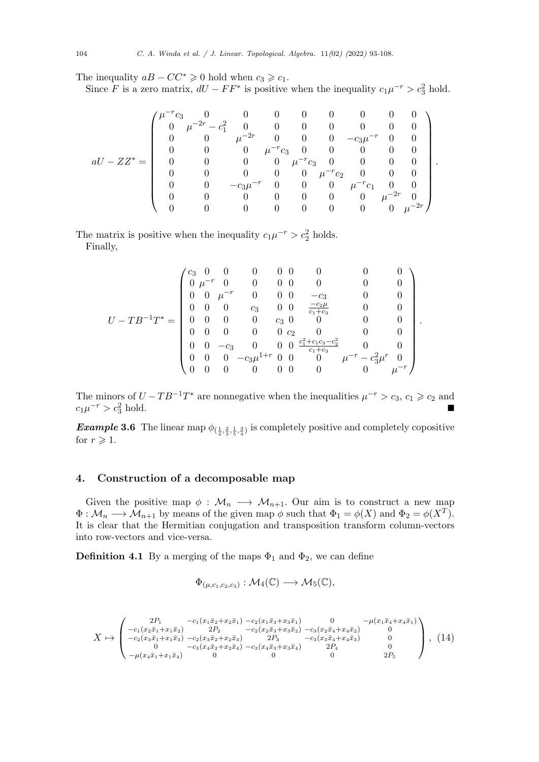The inequality  $aB - CC^* \geq 0$  hold when  $c_3 \geq c_1$ .

Since *F* is a zero matrix,  $dU - FF^*$  is positive when the inequality  $c_1\mu^{-r} > c_3^2$  hold.

$$
aU-ZZ^* = \left(\begin{array}{cccccccc} \mu^{-r}c_3 & 0 & 0 & 0 & 0 & 0 & 0 & 0 & 0 \\ 0 & \mu^{-2r}-c_1^2 & 0 & 0 & 0 & 0 & 0 & 0 & 0 \\ 0 & 0 & \mu^{-2r} & 0 & 0 & 0 & -c_3\mu^{-r} & 0 & 0 \\ 0 & 0 & 0 & \mu^{-r}c_3 & 0 & 0 & 0 & 0 & 0 \\ 0 & 0 & 0 & 0 & \mu^{-r}c_3 & 0 & 0 & 0 & 0 \\ 0 & 0 & 0 & 0 & 0 & \mu^{-r}c_2 & 0 & 0 & 0 \\ 0 & 0 & -c_3\mu^{-r} & 0 & 0 & 0 & \mu^{-r}c_1 & 0 & 0 \\ 0 & 0 & 0 & 0 & 0 & 0 & 0 & \mu^{-2r} & 0 \\ 0 & 0 & 0 & 0 & 0 & 0 & 0 & 0 & \mu^{-2r} \end{array}\right).
$$

The matrix is positive when the inequality  $c_1\mu^{-r} > c_2^2$  holds. Finally,

$$
U-TB^{-1}T^* = \begin{pmatrix} c_3 & 0 & 0 & 0 & 0 & 0 & 0 & 0 & 0 \\ 0 & \mu^{-r} & 0 & 0 & 0 & 0 & 0 & 0 & 0 \\ 0 & 0 & \mu^{-r} & 0 & 0 & 0 & -c_3 & 0 & 0 \\ 0 & 0 & 0 & c_3 & 0 & 0 & \frac{-c_2\mu}{c_1+c_3} & 0 & 0 \\ 0 & 0 & 0 & 0 & c_3 & 0 & 0 & 0 & 0 \\ 0 & 0 & 0 & 0 & 0 & c_2 & 0 & 0 & 0 \\ 0 & 0 & -c_3 & 0 & 0 & 0 & \frac{c_1^2+c_1c_3-c_2^2}{c_1+c_3} & 0 & 0 \\ 0 & 0 & 0 & -c_3\mu^{1+r} & 0 & 0 & 0 & \mu^{-r} - c_3^2\mu^r & 0 \\ 0 & 0 & 0 & 0 & 0 & 0 & 0 & 0 & \mu^{-r} \end{pmatrix}.
$$

The minors of  $U - TB^{-1}T^*$  are nonnegative when the inequalities  $\mu^{-r} > c_3$ ,  $c_1 \geq c_2$  and  $c_1\mu^{-r} > c_3^2$  $\frac{2}{3}$  hold.

*Example* 3.6 The linear map  $\phi_{(\frac{1}{2},\frac{2}{3},\frac{1}{5},\frac{3}{4})}$  is completely positive and completely copositive for  $r \geqslant 1$ .

## **4. Construction of a decomposable map**

Given the positive map  $\phi : \mathcal{M}_n \longrightarrow \mathcal{M}_{n+1}$ . Our aim is to construct a new map  $\Phi: \mathcal{M}_n \longrightarrow \mathcal{M}_{n+1}$  by means of the given map  $\phi$  such that  $\Phi_1 = \phi(X)$  and  $\Phi_2 = \phi(X^T)$ . It is clear that the Hermitian conjugation and transposition transform column-vectors into row-vectors and vice-versa.

**Definition 4.1** By a merging of the maps  $\Phi_1$  and  $\Phi_2$ , we can define

$$
\Phi_{(\mu,c_1,c_2,c_3)} : \mathcal{M}_4(\mathbb{C}) \longrightarrow \mathcal{M}_5(\mathbb{C}),
$$

<span id="page-11-0"></span>
$$
X \mapsto \begin{pmatrix} 2P_1 & -c_1(x_1\bar{x}_2 + x_2\bar{x}_1) & -c_2(x_1\bar{x}_3 + x_3\bar{x}_1) & 0 & -\mu(x_1\bar{x}_4 + x_4\bar{x}_1) \\ -c_1(x_2\bar{x}_1 + x_1\bar{x}_2) & 2P_2 & -c_2(x_2\bar{x}_3 + x_3\bar{x}_2) & -c_3(x_2\bar{x}_4 + x_4\bar{x}_2) & 0 \\ -c_2(x_3\bar{x}_1 + x_1\bar{x}_3) & -c_2(x_3\bar{x}_2 + x_2\bar{x}_3) & 2P_3 & -c_3(x_3\bar{x}_4 + x_4\bar{x}_3) & 0 \\ 0 & -c_3(x_4\bar{x}_2 + x_2\bar{x}_4) & -c_3(x_4\bar{x}_3 + x_3\bar{x}_4) & 2P_4 & 0 \\ -\mu(x_4\bar{x}_1 + x_1\bar{x}_4) & 0 & 0 & 2P_5 \end{pmatrix}, (14)
$$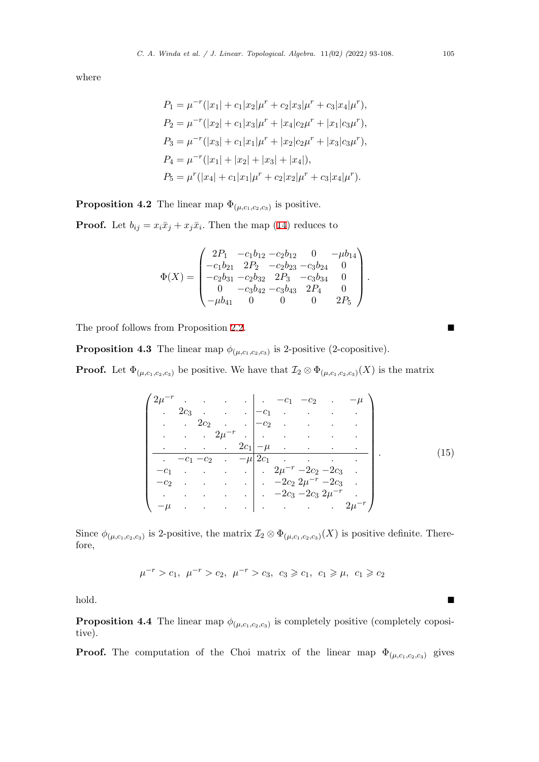where

$$
P_1 = \mu^{-r}(|x_1| + c_1|x_2|\mu^r + c_2|x_3|\mu^r + c_3|x_4|\mu^r),
$$
  
\n
$$
P_2 = \mu^{-r}(|x_2| + c_1|x_3|\mu^r + |x_4|c_2\mu^r + |x_1|c_3\mu^r),
$$
  
\n
$$
P_3 = \mu^{-r}(|x_3| + c_1|x_1|\mu^r + |x_2|c_2\mu^r + |x_3|c_3\mu^r),
$$
  
\n
$$
P_4 = \mu^{-r}(|x_1| + |x_2| + |x_3| + |x_4|),
$$
  
\n
$$
P_5 = \mu^{r}(|x_4| + c_1|x_1|\mu^r + c_2|x_2|\mu^r + c_3|x_4|\mu^r).
$$

**Proposition 4.2** The linear map  $\Phi_{(\mu,c_1,c_2,c_3)}$  is positive.

**Proof.** Let  $b_{ij} = x_i \bar{x}_j + x_j \bar{x}_i$ . Then the map (14) reduces to

$$
\Phi(X) = \begin{pmatrix}\n2P_1 & -c_1b_{12} - c_2b_{12} & 0 & -\mu b_{14} \\
-c_1b_{21} & 2P_2 & -c_2b_{23} - c_3b_{24} & 0 \\
-c_2b_{31} - c_2b_{32} & 2P_3 & -c_3b_{34} & 0 \\
0 & -c_3b_{42} - c_3b_{43} & 2P_4 & 0 \\
-\mu b_{41} & 0 & 0 & 0 & 2P_5\n\end{pmatrix}.
$$

The proof follows from Proposition 2.2. ■

**Proposition 4.3** The linear map  $\phi_{(\mu,c_1,c_2,c_3)}$  is 2-positive (2-copositive).

**Proof.** Let  $\Phi_{(\mu,c_1,c_2,c_3)}$  be positive. [We](#page-4-0) have that  $\mathcal{I}_2 \otimes \Phi_{(\mu,c_1,c_2,c_3)}(X)$  is the matrix

$$
\begin{pmatrix}\n2\mu^{-r} & \cdots & \cdots & -c_1 & -c_2 & \cdots & -\mu \\
\vdots & 2c_3 & \cdots & \vdots & \ddots & \vdots \\
\vdots & \ddots & 2c_2 & \cdots & \ddots & \vdots \\
\vdots & \ddots & \ddots & \ddots & \ddots & \vdots \\
\hline\n-c_1 & -c_1 & -c_2 & \cdots & -\mu & 2c_1 & \cdots \\
\hline\n-c_1 & \cdots & \cdots & \ddots & \ddots & \vdots \\
-c_2 & \cdots & \cdots & \ddots & \ddots & \ddots & \vdots \\
\vdots & \vdots & \ddots & \ddots & \ddots & \ddots & \vdots \\
\hline\n-\mu & \cdots & \cdots & \cdots & \ddots & \ddots\n\end{pmatrix} (15)
$$

Since  $\phi_{(\mu,c_1,c_2,c_3)}$  is 2-positive, the matrix  $\mathcal{I}_2 \otimes \Phi_{(\mu,c_1,c_2,c_3)}(X)$  is positive definite. Therefore,

$$
\mu^{-r} > c_1, \ \mu^{-r} > c_2, \ \mu^{-r} > c_3, \ c_3 \geqslant c_1, \ c_1 \geqslant \mu, \ c_1 \geqslant c_2
$$

hold. ■

**Proposition 4.4** The linear map  $\phi_{(\mu,c_1,c_2,c_3)}$  is completely positive (completely copositive).

**Proof.** The computation of the Choi matrix of the linear map  $\Phi_{(\mu,c_1,c_2,c_3)}$  gives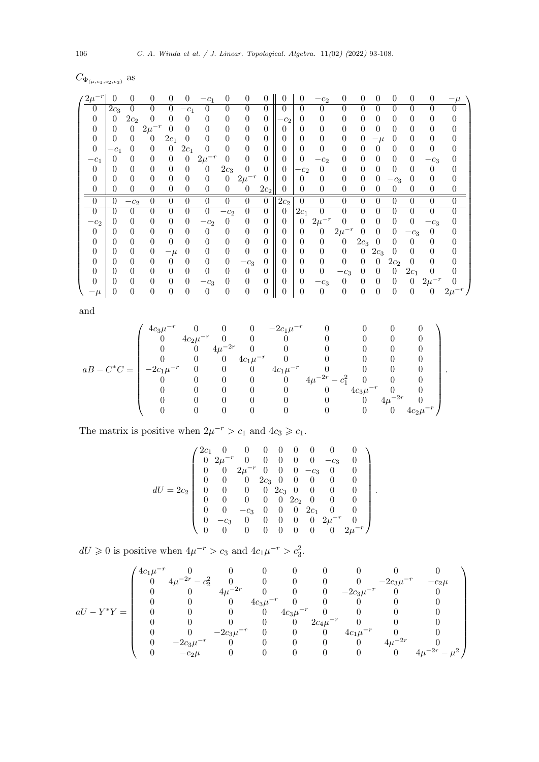$C_{\Phi_{(\mu,c_1,c_2,c_3)}}$  as

| $2\mu$           | 0        | 0               | 0              | $\Omega$ |          | $-c_1$              | 0                | 0              | 0                   | $\Omega$       | 0              | $-c_2$         | 0              | $^{(1)}$ | $\mathbf{\Omega}$ | 0               | $\Omega$         | $^{(1)}$    |          |
|------------------|----------|-----------------|----------------|----------|----------|---------------------|------------------|----------------|---------------------|----------------|----------------|----------------|----------------|----------|-------------------|-----------------|------------------|-------------|----------|
| $\left( \right)$ | $2c_3$   | 0               | $\overline{0}$ | 0        | $-c_1$   | $\theta$            | 0                | 0              | 0                   | $\Omega$       | 0              | $\Omega$       | $\theta$       | 0        | 0                 | 0               | ∩                | 0           |          |
| 0                | $\theta$ | 2c <sub>2</sub> | 0              | $\Omega$ | 0        | 0                   | $\overline{0}$   | $\theta$       | $\theta$            | $-c2$          | 0              | $\theta$       | $\overline{0}$ | 0        | 0                 | 0               | 0                | 0           | $\theta$ |
| 0                | $\theta$ | 0               | $2\mu$         | $\Omega$ | 0        | $\theta$            | 0                | 0              | 0                   | 0              | $\overline{0}$ | $\theta$       | 0              | 0        | $\Omega$          | 0               | 0                | 0           | 0        |
| 0                | $\Omega$ | 0               | 0              | $2c_{1}$ | 0        | 0                   | $\theta$         | $\theta$       | 0                   | 0              | $\theta$       | $\theta$       | $\theta$       | 0        |                   | $\theta$        | $\Omega$         | 0           |          |
| $\theta$         | $-c_1$   | 0               | 0              | $\theta$ | $2c_1$   | 0                   | 0                | $\theta$       | 0                   | 0              | $\theta$       | $\theta$       | $\overline{0}$ | 0        | $^{(1)}$          | $\theta$        | $\Omega$         | 0           | $\Omega$ |
| $-c_1$           | 0        | 0               | $\theta$       | $\Omega$ | $\theta$ | $2\mu$ <sup>-</sup> | 0                | 0              | $\Omega$            | 0              | $\theta$       | $-c_2$         | $\theta$       | 0        | $\Omega$          | 0               | 0                | $-c_3$      | $\Omega$ |
| $\theta$         | 0        | 0               | $\theta$       | $\theta$ | $^{(1)}$ | $\theta$            | $2c_3$           | 0              | 0                   | $\overline{0}$ | $-c_2$         | $\overline{0}$ | 0              | 0        | 0                 | 0               | 0                | 0           | $\theta$ |
| $\theta$         | $\theta$ | 0               | $\theta$       | $\theta$ | 0        | $\theta$            | $\theta$         | $2\mu^{-r}$    | $\theta$            | 0              | $\theta$       | $\theta$       | 0              | $\theta$ | 0                 | $-c_3$          | 0                | 0           | $\theta$ |
| 0                | 0        | 0               | $\theta$       | $\Omega$ | $\theta$ | $\theta$            | $\theta$         | $\theta$       | $2c_2$ <sup>1</sup> | 0              | $\Omega$       | $\theta$       | 0              | 0        | $^{(1)}$          | 0               | $\Omega$         | 0           | 0        |
| $\Omega$         | $\Omega$ | $-c_2$          | $\theta$       | $\theta$ | 0        | $\theta$            | $\theta$         | $\theta$       | $\theta$            | $2c_2$         | $\theta$       | $\theta$       | $\theta$       | 0        | 0                 | 0               | 0                | 0           |          |
| $\Omega$         | 0        | 0               | $\theta$       | $\Omega$ | 0        | 0                   | $-c2$            | 0              | $\left( \right)$    | $\Omega$       | $2c_1$         | $\theta$       | $\overline{0}$ | 0        | 0                 | 0               | $\theta$         | 0           | $\theta$ |
| $-c_2$           | 0        | 0               | $\theta$       | $\theta$ | 0        | $-c2$               | $\theta$         | $\overline{0}$ | 0                   | 0              | $\theta$       | $2\mu$         | $\overline{0}$ | 0        | 0                 | $\theta$        | $\Omega$         | $-c_3$      | 0        |
| $\Omega$         | 0        | 0               | $\theta$       | $\Omega$ | 0        | $\Omega$            | $\theta$         | $\overline{0}$ | $\Omega$            | 0              | $\theta$       | $\theta$       | $2\mu^{-r}$    | 0        | 0                 | 0               | $c_3$            | $\Omega$    |          |
| 0                | 0        | 0               | $\theta$       | $\Omega$ | $\Omega$ | 0                   | $\theta$         | $\theta$       | 0                   | 0              | $\theta$       | $\theta$       | 0              | $2c_3$   | $\left( \right)$  | 0               | $\left( \right)$ | 0           |          |
|                  |          |                 |                |          |          |                     |                  |                |                     |                |                |                |                |          |                   |                 |                  |             |          |
| 0                | 0        | 0               | $\theta$       | $-\mu$   | 0        | 0                   | $\theta$         | $\theta$       | 0                   | 0              | 0              | $\theta$       | 0              | 0        | $2c_3$            | 0               | $\theta$         | 0           | $\theta$ |
| 0                | 0        | 0               | $\theta$       | $\Omega$ | 0        | $\theta$            | $\boldsymbol{0}$ | $-c_3$         | 0                   | 0              | $\overline{0}$ | $\theta$       | $\theta$       | 0        | $^{(1)}$          | 2c <sub>2</sub> | 0                | 0           | $\theta$ |
| $\theta$         | 0        | 0               | $\theta$       | $\Omega$ | 0        | $\theta$            | $\overline{0}$   | $\theta$       | 0                   | 0              | $\overline{0}$ | $\theta$       | $-c_3$         | 0        | $^{(1)}$          | $\theta$        | $2c_{1}$         | 0           |          |
|                  | 0        | 0               | $\Omega$       | $\Omega$ | $^{(1)}$ | $-c_3$              | $\theta$         | $\theta$       | $\Omega$            | 0              | $\overline{0}$ | $-c_3$         | $\theta$       | 0        | 0                 | 0               | $\Omega$         | $2\mu^{-r}$ |          |

and

$$
aB-C^{*}C=\left(\begin{array}{cccccccc} 4c_{3}\mu^{-r} & 0 & 0 & 0 & -2c_{1}\mu^{-r} & 0 & 0 & 0 & 0 \\ 0 & 4c_{2}\mu^{-r} & 0 & 0 & 0 & 0 & 0 & 0 & 0 \\ 0 & 0 & 4\mu^{-2r} & 0 & 0 & 0 & 0 & 0 & 0 \\ 0 & 0 & 0 & 4c_{1}\mu^{-r} & 0 & 0 & 0 & 0 & 0 \\ -2c_{1}\mu^{-r} & 0 & 0 & 0 & 4c_{1}\mu^{-r} & 0 & 0 & 0 & 0 \\ 0 & 0 & 0 & 0 & 0 & 4\mu^{-2r} - c_{1}^{2} & 0 & 0 & 0 \\ 0 & 0 & 0 & 0 & 0 & 0 & 4c_{3}\mu^{-r} & 0 & 0 \\ 0 & 0 & 0 & 0 & 0 & 0 & 0 & 0 & 4\mu^{-2r} & 0 \\ 0 & 0 & 0 & 0 & 0 & 0 & 0 & 0 & 4\mu^{-2r} & 0 \end{array}\right).
$$

The matrix is positive when  $2\mu^{-r} > c_1$  and  $4c_3 \geq c_1$ .

$$
dU = 2c_2 \begin{pmatrix} 2c_1 & 0 & 0 & 0 & 0 & 0 & 0 & 0 & 0 \\ 0 & 2\mu^{-r} & 0 & 0 & 0 & 0 & 0 & -c_3 & 0 \\ 0 & 0 & 2\mu^{-r} & 0 & 0 & 0 & -c_3 & 0 & 0 \\ 0 & 0 & 0 & 2c_3 & 0 & 0 & 0 & 0 & 0 \\ 0 & 0 & 0 & 0 & 2c_3 & 0 & 0 & 0 & 0 \\ 0 & 0 & 0 & 0 & 0 & 2c_2 & 0 & 0 & 0 \\ 0 & 0 & -c_3 & 0 & 0 & 0 & 2c_1 & 0 & 0 \\ 0 & -c_3 & 0 & 0 & 0 & 0 & 0 & 2\mu^{-r} & 0 \\ 0 & 0 & 0 & 0 & 0 & 0 & 0 & 0 & 2\mu^{-r} \end{pmatrix}.
$$

 $dU \ge 0$  is positive when  $4\mu^{-r} > c_3$  and  $4c_1\mu^{-r} > c_3^2$ .

$$
aU-Y^*Y=\left(\begin{array}{cccccccc} 4c_1\mu^{-r}&0&0&0&0&0&0&0&0&0\\ 0&4\mu^{-2r}-c_2^2&0&0&0&0&0&-2c_3\mu^{-r}&-c_2\mu\\ 0&0&4\mu^{-2r}&0&0&0&-2c_3\mu^{-r}&0&0\\ 0&0&0&4c_3\mu^{-r}&0&0&0&0&0\\ 0&0&0&0&4c_3\mu^{-r}&0&0&0&0\\ 0&0&0&0&2c_4\mu^{-r}&0&0&0\\ 0&0&-2c_3\mu^{-r}&0&0&0&4c_1\mu^{-r}&0&0\\ 0&-2c_3\mu^{-r}&0&0&0&0&4\mu^{-2r}&0\\ 0&-c_2\mu&0&0&0&0&0&0&4\mu^{-2r}-\mu^2 \end{array}\right)
$$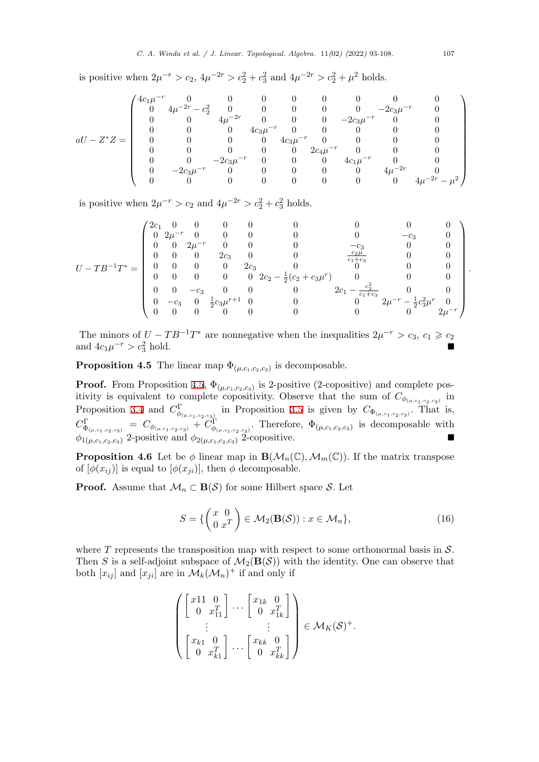is positive when  $2\mu^{-r} > c_2$ ,  $4\mu^{-2r} > c_2^2 + c_3^2$  and  $4\mu^{-2r} > c_2^2 + \mu^2$  holds.

$$
aU - Z^*Z = \left(\begin{array}{cccccccc} 4c_1\mu^{-r} & 0 & 0 & 0 & 0 & 0 & 0 & 0 & 0 & 0 \\ 0 & 4\mu^{-2r} - c_2^2 & 0 & 0 & 0 & 0 & 0 & -2c_3\mu^{-r} & 0 \\ 0 & 0 & 4\mu^{-2r} & 0 & 0 & 0 & -2c_3\mu^{-r} & 0 & 0 \\ 0 & 0 & 0 & 4c_3\mu^{-r} & 0 & 0 & 0 & 0 & 0 \\ 0 & 0 & 0 & 0 & 4c_3\mu^{-r} & 0 & 0 & 0 & 0 \\ 0 & 0 & 0 & 0 & 0 & 2c_4\mu^{-r} & 0 & 0 & 0 \\ 0 & 0 & -2c_3\mu^{-r} & 0 & 0 & 0 & 4c_1\mu^{-r} & 0 & 0 \\ 0 & -2c_3\mu^{-r} & 0 & 0 & 0 & 0 & 4\mu^{-2r} & 0 \\ 0 & 0 & 0 & 0 & 0 & 0 & 0 & 4\mu^{-2r} - \mu^2 \end{array}\right)
$$

is positive when  $2\mu^{-r} > c_2$  and  $4\mu^{-2r} > c_2^2 + c_3^2$  holds.

$$
U-TB^{-1}T^* = \begin{pmatrix} 2c_1 & 0 & 0 & 0 & 0 & 0 & 0 & 0 & 0 & 0 \\ 0 & 2\mu^{-r} & 0 & 0 & 0 & 0 & 0 & -c_3 & 0 \\ 0 & 0 & 2\mu^{-r} & 0 & 0 & 0 & -c_3 & 0 & 0 \\ 0 & 0 & 0 & 2c_3 & 0 & 0 & \frac{c_2\mu}{c_1+c_3} & 0 & 0 \\ 0 & 0 & 0 & 0 & 2c_3 & 0 & 0 & 0 & 0 \\ 0 & 0 & 0 & 0 & 0 & 2c_2 - \frac{1}{2}(c_2+c_3\mu^r) & 0 & 0 & 0 \\ 0 & 0 & -c_3 & 0 & 0 & 0 & 2c_1 - \frac{c_2^2}{c_1+c_3} & 0 & 0 \\ 0 & -c_3 & 0 & \frac{1}{2}c_3\mu^{r+1} & 0 & 0 & 0 & 0 & 0 \\ 0 & 0 & 0 & 0 & 0 & 0 & 0 & 0 & 0 & 0 \end{pmatrix}
$$

The minors of  $U - TB^{-1}T^*$  are nonnegative when the inequalities  $2\mu^{-r} > c_3$ ,  $c_1 \geq c_2$ and  $4c_1\mu^{-r} > c_3^2$  $\frac{2}{3}$  hold.

**Proposition 4.5** The linear map  $\Phi_{(\mu,c_1,c_2,c_3)}$  is decomposable.

<span id="page-14-0"></span>**Proof.** From Proposition 4.5,  $\Phi_{(\mu,c_1,c_2,c_3)}$  is 2-positive (2-copositive) and complete positivity is equivalent to complete copositivity. Observe that the sum of  $C_{\phi_{(\mu,c_1,c_2,c_3)}}$  in Proposition 3.4 and  $C^{\Gamma}_{\phi_{(\mu,c_1,c_2,c_3)}}$  in Proposition 3.5 is given by  $C_{\Phi_{(\mu,c_1,c_2,c_3)}}$ . That is,  $C^{\Gamma}_{\Phi_{(\mu,c_1,c_2,c_3)}} = C_{\phi_{(\mu,c_1,c_2,c_3)}} + C^{\Gamma}_{\phi_{(\mu,c_1,c_2,c_3)}}$  $C^{\Gamma}_{\Phi_{(\mu,c_1,c_2,c_3)}} = C_{\phi_{(\mu,c_1,c_2,c_3)}} + C^{\Gamma}_{\phi_{(\mu,c_1,c_2,c_3)}}$  $C^{\Gamma}_{\Phi_{(\mu,c_1,c_2,c_3)}} = C_{\phi_{(\mu,c_1,c_2,c_3)}} + C^{\Gamma}_{\phi_{(\mu,c_1,c_2,c_3)}}$ . Therefore,  $\Phi_{(\mu,c_1,c_2,c_3)}$  is decomposable with  $\phi_{1(\mu,c_1,c_2,c_3)}$  2-positive and  $\phi_{2(\mu,c_1,c_2,c_3)}$  2-copositive. ■

**Propositio[n 4](#page-7-0).6** Let be  $\phi$  linear map in  $\mathbf{B}(\mathcal{M}_n(\mathbb{C}), \mathcal{M}_m(\mathbb{C}))$  $\mathbf{B}(\mathcal{M}_n(\mathbb{C}), \mathcal{M}_m(\mathbb{C}))$  $\mathbf{B}(\mathcal{M}_n(\mathbb{C}), \mathcal{M}_m(\mathbb{C}))$ . If the matrix transpose of  $[\phi(x_{ij})]$  is equal to  $[\phi(x_{ji})]$ , then  $\phi$  decomposable.

**Proof.** Assume that  $\mathcal{M}_n \subset \mathbf{B}(\mathcal{S})$  for some Hilbert space  $\mathcal{S}$ . Let

$$
S = \left\{ \begin{pmatrix} x & 0 \\ 0 & x^T \end{pmatrix} \in \mathcal{M}_2(\mathbf{B}(\mathcal{S})) : x \in \mathcal{M}_n \right\},\tag{16}
$$

where *T* represents the transposition map with respect to some orthonormal basis in *S*. Then *S* is a self-adjoint subspace of  $\mathcal{M}_2(\mathbf{B}(\mathcal{S}))$  with the identity. One can observe that both  $[x_{ij}]$  and  $[x_{ji}]$  are in  $\mathcal{M}_k(\mathcal{M}_n)^+$  if and only if

$$
\begin{pmatrix}\n\begin{bmatrix}\nx11 & 0 \\
0 & x_{11}^T\n\end{bmatrix} \cdots \begin{bmatrix}\nx_{1k} & 0 \\
0 & x_{1k}^T\n\end{bmatrix} \\
\vdots \\
\begin{bmatrix}\nx_{k1} & 0 \\
0 & x_{k1}^T\n\end{bmatrix} \cdots \begin{bmatrix}\nx_{kk} & 0 \\
0 & x_{kk}^T\n\end{bmatrix}\n\end{pmatrix} \in \mathcal{M}_K(\mathcal{S})^+.
$$

*.*